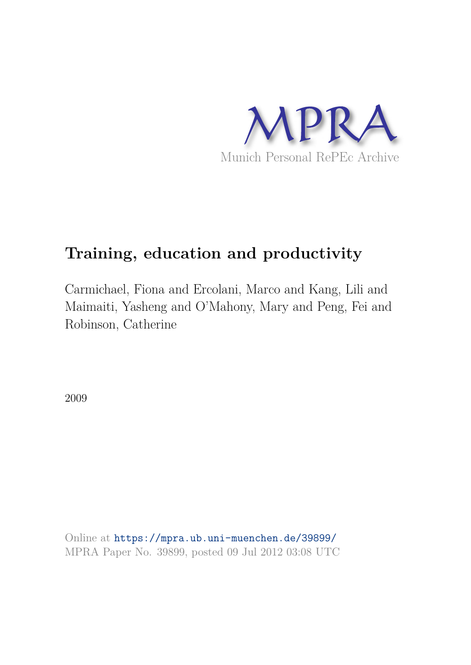

# **Training, education and productivity**

Carmichael, Fiona and Ercolani, Marco and Kang, Lili and Maimaiti, Yasheng and O'Mahony, Mary and Peng, Fei and Robinson, Catherine

2009

Online at https://mpra.ub.uni-muenchen.de/39899/ MPRA Paper No. 39899, posted 09 Jul 2012 03:08 UTC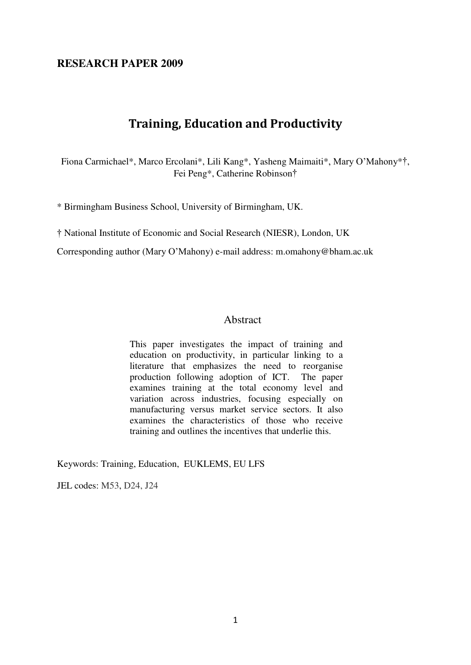### **RESEARCH PAPER 2009**

## **Training, Education and Productivity**

Fiona Carmichael\*, Marco Ercolani\*, Lili Kang\*, Yasheng Maimaiti\*, Mary O'Mahony\*†, Fei Peng\*, Catherine Robinson†

\* Birmingham Business School, University of Birmingham, UK.

† National Institute of Economic and Social Research (NIESR), London, UK

Corresponding author (Mary O'Mahony) e-mail address: m.omahony@bham.ac.uk

#### Abstract

This paper investigates the impact of training and education on productivity, in particular linking to a literature that emphasizes the need to reorganise<br>production following adoption of ICT. The paper production following adoption of ICT. examines training at the total economy level and variation across industries, focusing especially on manufacturing versus market service sectors. It also examines the characteristics of those who receive training and outlines the incentives that underlie this.

Keywords: Training, Education, EUKLEMS, EU LFS

JEL codes: M53, D24, J24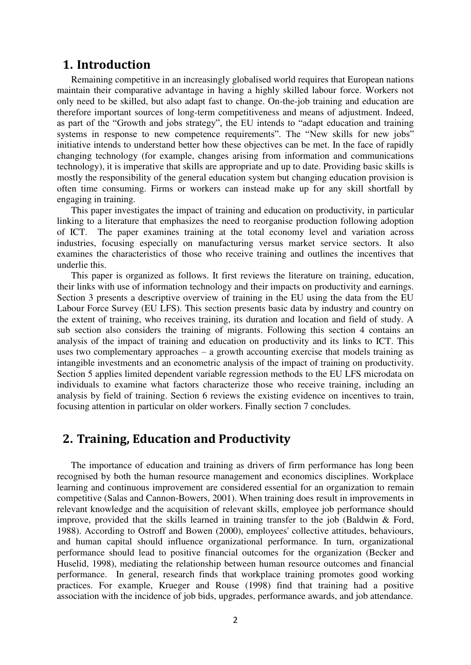## **1. Introduction**

Remaining competitive in an increasingly globalised world requires that European nations maintain their comparative advantage in having a highly skilled labour force. Workers not only need to be skilled, but also adapt fast to change. On-the-job training and education are therefore important sources of long-term competitiveness and means of adjustment. Indeed, as part of the "Growth and jobs strategy", the EU intends to "adapt education and training systems in response to new competence requirements". The "New skills for new jobs" initiative intends to understand better how these objectives can be met. In the face of rapidly changing technology (for example, changes arising from information and communications technology), it is imperative that skills are appropriate and up to date. Providing basic skills is mostly the responsibility of the general education system but changing education provision is often time consuming. Firms or workers can instead make up for any skill shortfall by engaging in training.

This paper investigates the impact of training and education on productivity, in particular linking to a literature that emphasizes the need to reorganise production following adoption of ICT. The paper examines training at the total economy level and variation across industries, focusing especially on manufacturing versus market service sectors. It also examines the characteristics of those who receive training and outlines the incentives that underlie this.

This paper is organized as follows. It first reviews the literature on training, education, their links with use of information technology and their impacts on productivity and earnings. Section 3 presents a descriptive overview of training in the EU using the data from the EU Labour Force Survey (EU LFS). This section presents basic data by industry and country on the extent of training, who receives training, its duration and location and field of study. A sub section also considers the training of migrants. Following this section 4 contains an analysis of the impact of training and education on productivity and its links to ICT. This uses two complementary approaches – a growth accounting exercise that models training as intangible investments and an econometric analysis of the impact of training on productivity. Section 5 applies limited dependent variable regression methods to the EU LFS microdata on individuals to examine what factors characterize those who receive training, including an analysis by field of training. Section 6 reviews the existing evidence on incentives to train, focusing attention in particular on older workers. Finally section 7 concludes.

## **2. Training, Education and Productivity**

The importance of education and training as drivers of firm performance has long been recognised by both the human resource management and economics disciplines. Workplace learning and continuous improvement are considered essential for an organization to remain competitive (Salas and Cannon-Bowers, 2001). When training does result in improvements in relevant knowledge and the acquisition of relevant skills, employee job performance should improve, provided that the skills learned in training transfer to the job (Baldwin & Ford, 1988). According to Ostroff and Bowen (2000), employees' collective attitudes, behaviours, and human capital should influence organizational performance. In turn, organizational performance should lead to positive financial outcomes for the organization (Becker and Huselid, 1998), mediating the relationship between human resource outcomes and financial performance. In general, research finds that workplace training promotes good working practices. For example, Krueger and Rouse (1998) find that training had a positive association with the incidence of job bids, upgrades, performance awards, and job attendance.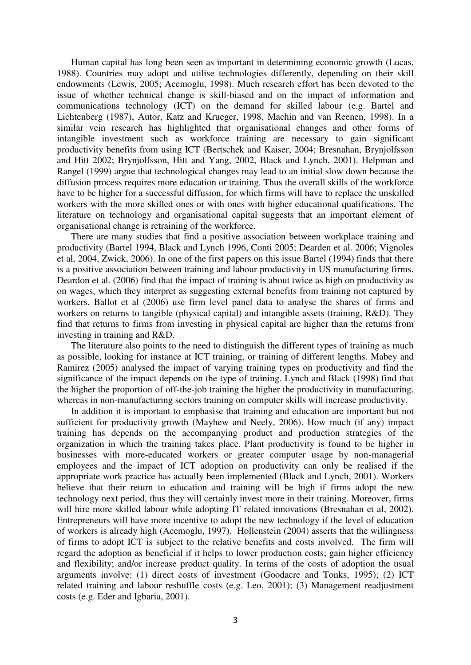Human capital has long been seen as important in determining economic growth (Lucas, 1988). Countries may adopt and utilise technologies differently, depending on their skill endowments (Lewis, 2005; Acemoglu, 1998). Much research effort has been devoted to the issue of whether technical change is skill-biased and on the impact of information and communications technology (ICT) on the demand for skilled labour (e.g. Bartel and Lichtenberg (1987), Autor, Katz and Krueger, 1998, Machin and van Reenen, 1998). In a similar vein research has highlighted that organisational changes and other forms of intangible investment such as workforce training are necessary to gain significant productivity benefits from using ICT (Bertschek and Kaiser, 2004; Bresnahan, Brynjolfsson and Hitt 2002; Brynjolfsson, Hitt and Yang, 2002, Black and Lynch, 2001). Helpman and Rangel (1999) argue that technological changes may lead to an initial slow down because the diffusion process requires more education or training. Thus the overall skills of the workforce have to be higher for a successful diffusion, for which firms will have to replace the unskilled workers with the more skilled ones or with ones with higher educational qualifications. The literature on technology and organisational capital suggests that an important element of organisational change is retraining of the workforce.

There are many studies that find a positive association between workplace training and productivity (Bartel 1994, Black and Lynch 1996, Conti 2005; Dearden et al. 2006; Vignoles et al, 2004, Zwick, 2006). In one of the first papers on this issue Bartel (1994) finds that there is a positive association between training and labour productivity in US manufacturing firms. Deardon et al. (2006) find that the impact of training is about twice as high on productivity as on wages, which they interpret as suggesting external benefits from training not captured by workers. Ballot et al (2006) use firm level panel data to analyse the shares of firms and workers on returns to tangible (physical capital) and intangible assets (training, R&D). They find that returns to firms from investing in physical capital are higher than the returns from investing in training and R&D.

The literature also points to the need to distinguish the different types of training as much as possible, looking for instance at ICT training, or training of different lengths. [Mabey and](http://www.sciencedirect.com/science?_ob=ArticleURL&_udi=B6W4J-4PJ6BNK-2&_user=7209522&_coverDate=09%2F30%2F2007&_rdoc=1&_fmt=full&_orig=search&_cdi=6544&_sort=d&_docanchor=&view=c&_acct=C000010083&_version=1&_urlVersion=0&_userid=7209522&md5=adcaa7dce87e37c5266a105153a9d5b8#bib73)  [Ramirez \(2005\)](http://www.sciencedirect.com/science?_ob=ArticleURL&_udi=B6W4J-4PJ6BNK-2&_user=7209522&_coverDate=09%2F30%2F2007&_rdoc=1&_fmt=full&_orig=search&_cdi=6544&_sort=d&_docanchor=&view=c&_acct=C000010083&_version=1&_urlVersion=0&_userid=7209522&md5=adcaa7dce87e37c5266a105153a9d5b8#bib73) analysed the impact of varying training types on productivity and find the significance of the impact depends on the type of training. Lynch and Black (1998) find that the higher the proportion of off-the-job training the higher the productivity in manufacturing, whereas in non-manufacturing sectors training on computer skills will increase productivity.

In addition it is important to emphasise that training and education are important but not sufficient for productivity growth (Mayhew and Neely, 2006). How much (if any) impact training has depends on the accompanying product and production strategies of the organization in which the training takes place. Plant productivity is found to be higher in businesses with more-educated workers or greater computer usage by non-managerial employees and the impact of ICT adoption on productivity can only be realised if the appropriate work practice has actually been implemented (Black and Lynch, 2001). Workers believe that their return to education and training will be high if firms adopt the new technology next period, thus they will certainly invest more in their training. Moreover, firms will hire more skilled labour while adopting IT related innovations (Bresnahan et al, 2002). Entrepreneurs will have more incentive to adopt the new technology if the level of education of workers is already high (Acemoglu, 1997). Hollenstein (2004) asserts that the willingness of firms to adopt ICT is subject to the relative benefits and costs involved. The firm will regard the adoption as beneficial if it helps to lower production costs; gain higher efficiency and flexibility; and/or increase product quality. In terms of the costs of adoption the usual arguments involve: (1) direct costs of investment (Goodacre and Tonks, 1995); (2) ICT related training and labour reshuffle costs (e.g. Leo, 2001); (3) Management readjustment costs (e.g. Eder and Igbaria, 2001).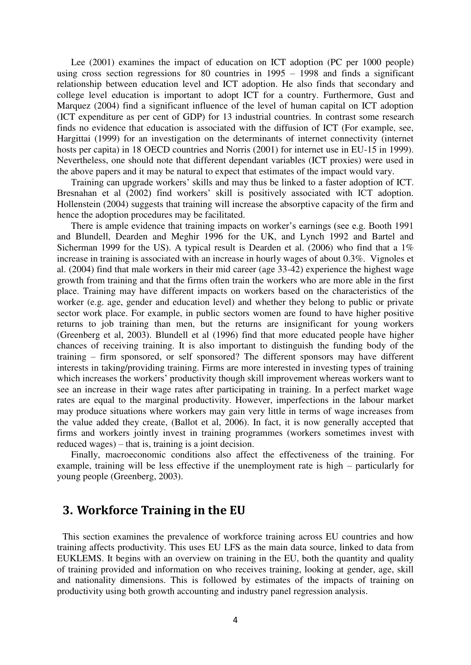Lee (2001) examines the impact of education on ICT adoption (PC per 1000 people) using cross section regressions for 80 countries in 1995 – 1998 and finds a significant relationship between education level and ICT adoption. He also finds that secondary and college level education is important to adopt ICT for a country. Furthermore, Gust and Marquez (2004) find a significant influence of the level of human capital on ICT adoption (ICT expenditure as per cent of GDP) for 13 industrial countries. In contrast some research finds no evidence that education is associated with the diffusion of ICT (For example, see, Hargittai (1999) for an investigation on the determinants of internet connectivity (internet hosts per capita) in 18 OECD countries and Norris (2001) for internet use in EU-15 in 1999). Nevertheless, one should note that different dependant variables (ICT proxies) were used in the above papers and it may be natural to expect that estimates of the impact would vary.

Training can upgrade workers' skills and may thus be linked to a faster adoption of ICT. Bresnahan et al (2002) find workers' skill is positively associated with ICT adoption. Hollenstein (2004) suggests that training will increase the absorptive capacity of the firm and hence the adoption procedures may be facilitated.

There is ample evidence that training impacts on worker's earnings (see e.g. Booth 1991 and Blundell, Dearden and Meghir 1996 for the UK, and Lynch 1992 and Bartel and Sicherman 1999 for the US). A typical result is Dearden et al. (2006) who find that a  $1\%$ increase in training is associated with an increase in hourly wages of about 0.3%. Vignoles et al. (2004) find that male workers in their mid career (age 33-42) experience the highest wage growth from training and that the firms often train the workers who are more able in the first place. Training may have different impacts on workers based on the characteristics of the worker (e.g. age, gender and education level) and whether they belong to public or private sector work place. For example, in public sectors women are found to have higher positive returns to job training than men, but the returns are insignificant for young workers (Greenberg et al, 2003). Blundell et al (1996) find that more educated people have higher chances of receiving training. It is also important to distinguish the funding body of the training – firm sponsored, or self sponsored? The different sponsors may have different interests in taking/providing training. Firms are more interested in investing types of training which increases the workers' productivity though skill improvement whereas workers want to see an increase in their wage rates after participating in training. In a perfect market wage rates are equal to the marginal productivity. However, imperfections in the labour market may produce situations where workers may gain very little in terms of wage increases from the value added they create, (Ballot et al, 2006). In fact, it is now generally accepted that firms and workers jointly invest in training programmes (workers sometimes invest with reduced wages) – that is, training is a joint decision.

Finally, macroeconomic conditions also affect the effectiveness of the training. For example, training will be less effective if the unemployment rate is high – particularly for young people (Greenberg, 2003).

## **3. Workforce Training in the EU**

This section examines the prevalence of workforce training across EU countries and how training affects productivity. This uses EU LFS as the main data source, linked to data from EUKLEMS. It begins with an overview on training in the EU, both the quantity and quality of training provided and information on who receives training, looking at gender, age, skill and nationality dimensions. This is followed by estimates of the impacts of training on productivity using both growth accounting and industry panel regression analysis.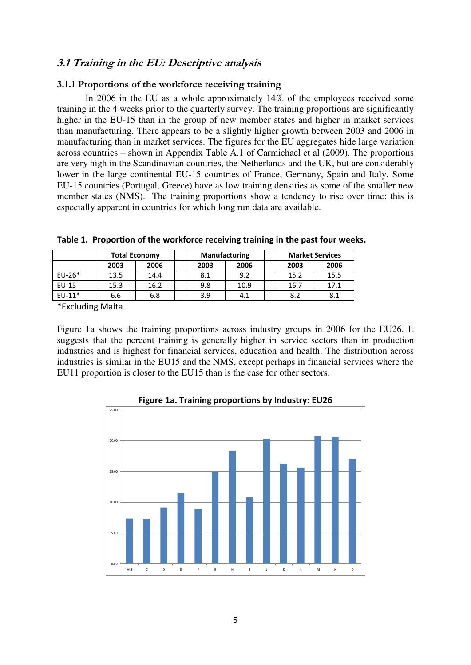## **3.1 Training in the EU: Descriptive analysis**

#### **3.1.1 Proportions of the workforce receiving training**

In 2006 in the EU as a whole approximately 14% of the employees received some training in the 4 weeks prior to the quarterly survey. The training proportions are significantly higher in the EU-15 than in the group of new member states and higher in market services than manufacturing. There appears to be a slightly higher growth between 2003 and 2006 in manufacturing than in market services. The figures for the EU aggregates hide large variation across countries – shown in Appendix Table A.1 of Carmichael et al (2009). The proportions are very high in the Scandinavian countries, the Netherlands and the UK, but are considerably lower in the large continental EU-15 countries of France, Germany, Spain and Italy. Some EU-15 countries (Portugal, Greece) have as low training densities as some of the smaller new member states (NMS). The training proportions show a tendency to rise over time; this is especially apparent in countries for which long run data are available.

|          | <b>Total Economy</b> |      |      | <b>Manufacturing</b> |  | <b>Market Services</b> |      |
|----------|----------------------|------|------|----------------------|--|------------------------|------|
|          | 2003                 | 2006 | 2003 | 2006                 |  | 2003                   | 2006 |
| $EU-26*$ | 13.5                 | 14.4 | 8.1  | 9.2                  |  | 15.2                   | 15.5 |
| EU-15    | 15.3                 | 16.2 | 9.8  | 10.9                 |  | 16.7                   | 17.1 |
| $EU-11*$ | 6.6                  | 6.8  | 3.9  | 4.1                  |  | 8.2                    | 8.1  |

**Table 1. Proportion of the workforce receiving training in the past four weeks.** 

\*Excluding Malta

Figure 1a shows the training proportions across industry groups in 2006 for the EU26. It suggests that the percent training is generally higher in service sectors than in production industries and is highest for financial services, education and health. The distribution across industries is similar in the EU15 and the NMS, except perhaps in financial services where the EU11 proportion is closer to the EU15 than is the case for other sectors.



**Figure 1a. Training proportions by Industry: EU26**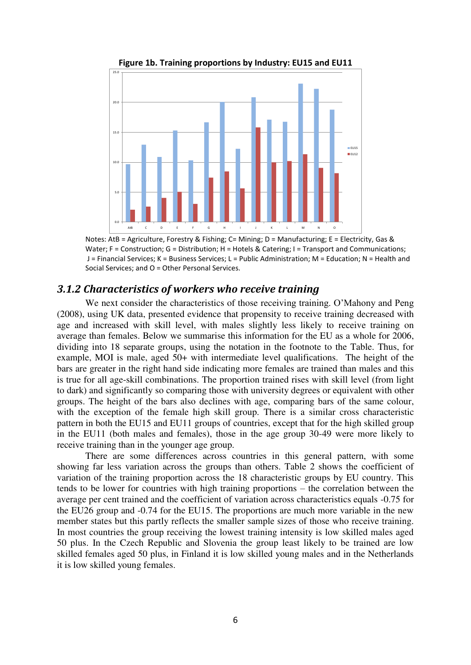

**Figure 1b. Training proportions by Industry: EU15 and EU11** 

Notes: AtB = Agriculture, Forestry & Fishing; C= Mining; D = Manufacturing; E = Electricity, Gas & Water; F = Construction; G = Distribution; H = Hotels & Catering; I = Transport and Communications; J = Financial Services; K = Business Services; L = Public Administration; M = Education; N = Health and Social Services; and O = Other Personal Services.

### *3.1.2 Characteristics of workers who receive training*

We next consider the characteristics of those receiving training. O'Mahony and Peng (2008), using UK data, presented evidence that propensity to receive training decreased with age and increased with skill level, with males slightly less likely to receive training on average than females. Below we summarise this information for the EU as a whole for 2006, dividing into 18 separate groups, using the notation in the footnote to the Table. Thus, for example, MOI is male, aged 50+ with intermediate level qualifications. The height of the bars are greater in the right hand side indicating more females are trained than males and this is true for all age-skill combinations. The proportion trained rises with skill level (from light to dark) and significantly so comparing those with university degrees or equivalent with other groups. The height of the bars also declines with age, comparing bars of the same colour, with the exception of the female high skill group. There is a similar cross characteristic pattern in both the EU15 and EU11 groups of countries, except that for the high skilled group in the EU11 (both males and females), those in the age group 30-49 were more likely to receive training than in the younger age group.

There are some differences across countries in this general pattern, with some showing far less variation across the groups than others. Table 2 shows the coefficient of variation of the training proportion across the 18 characteristic groups by EU country. This tends to be lower for countries with high training proportions – the correlation between the average per cent trained and the coefficient of variation across characteristics equals -0.75 for the EU26 group and -0.74 for the EU15. The proportions are much more variable in the new member states but this partly reflects the smaller sample sizes of those who receive training. In most countries the group receiving the lowest training intensity is low skilled males aged 50 plus. In the Czech Republic and Slovenia the group least likely to be trained are low skilled females aged 50 plus, in Finland it is low skilled young males and in the Netherlands it is low skilled young females.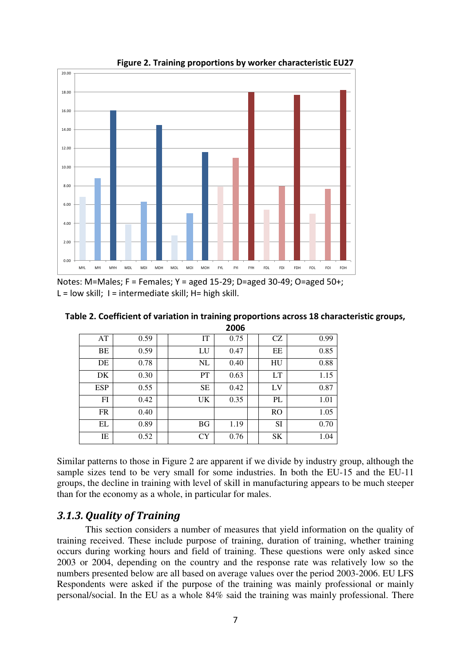

**Figure 2. Training proportions by worker characteristic EU27** 

Notes: M=Males; F = Females; Y = aged 15-29; D=aged 30-49; O=aged 50+;  $L =$  low skill;  $l =$  intermediate skill;  $H =$  high skill.

|            |      |           | 2006 |               |      |
|------------|------|-----------|------|---------------|------|
| AT         | 0.59 | IT        | 0.75 | <b>CZ</b>     | 0.99 |
| BE         | 0.59 | LU        | 0.47 | EE            | 0.85 |
| DE         | 0.78 | NL        | 0.40 | HU            | 0.88 |
| DK         | 0.30 | PT        | 0.63 | <b>LT</b>     | 1.15 |
| <b>ESP</b> | 0.55 | <b>SE</b> | 0.42 | LV            | 0.87 |
| FI         | 0.42 | UK        | 0.35 | PL            | 1.01 |
| <b>FR</b>  | 0.40 |           |      | <sub>RO</sub> | 1.05 |
| EL         | 0.89 | <b>BG</b> | 1.19 | SI            | 0.70 |
| IΕ         | 0.52 | CY        | 0.76 | SK            | 1.04 |

Similar patterns to those in Figure 2 are apparent if we divide by industry group, although the sample sizes tend to be very small for some industries. In both the EU-15 and the EU-11 groups, the decline in training with level of skill in manufacturing appears to be much steeper than for the economy as a whole, in particular for males.

## *3.1.3. Quality of Training*

This section considers a number of measures that yield information on the quality of training received. These include purpose of training, duration of training, whether training occurs during working hours and field of training. These questions were only asked since 2003 or 2004, depending on the country and the response rate was relatively low so the numbers presented below are all based on average values over the period 2003-2006. EU LFS Respondents were asked if the purpose of the training was mainly professional or mainly personal/social. In the EU as a whole 84% said the training was mainly professional. There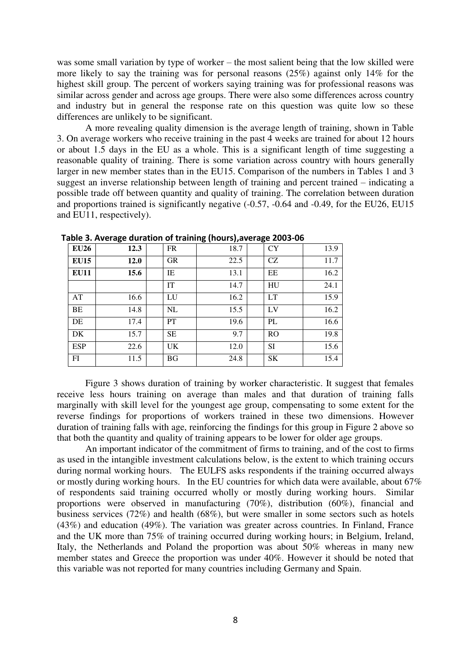was some small variation by type of worker – the most salient being that the low skilled were more likely to say the training was for personal reasons (25%) against only 14% for the highest skill group. The percent of workers saying training was for professional reasons was similar across gender and across age groups. There were also some differences across country and industry but in general the response rate on this question was quite low so these differences are unlikely to be significant.

A more revealing quality dimension is the average length of training, shown in Table 3. On average workers who receive training in the past 4 weeks are trained for about 12 hours or about 1.5 days in the EU as a whole. This is a significant length of time suggesting a reasonable quality of training. There is some variation across country with hours generally larger in new member states than in the EU15. Comparison of the numbers in Tables 1 and 3 suggest an inverse relationship between length of training and percent trained – indicating a possible trade off between quantity and quality of training. The correlation between duration and proportions trained is significantly negative (-0.57, -0.64 and -0.49, for the EU26, EU15 and EU11, respectively).

| <b>EU26</b> | 12.3 | <b>FR</b> | 18.7 | <b>CY</b>     | 13.9 |
|-------------|------|-----------|------|---------------|------|
| <b>EU15</b> | 12.0 | <b>GR</b> | 22.5 | CZ            | 11.7 |
| <b>EU11</b> | 15.6 | IE        | 13.1 | EE            | 16.2 |
|             |      | IT        | 14.7 | HU            | 24.1 |
| AT          | 16.6 | LU        | 16.2 | <b>LT</b>     | 15.9 |
| BE          | 14.8 | NL        | 15.5 | LV            | 16.2 |
| DE          | 17.4 | <b>PT</b> | 19.6 | PL            | 16.6 |
| DK          | 15.7 | <b>SE</b> | 9.7  | <sub>RO</sub> | 19.8 |
| <b>ESP</b>  | 22.6 | UK        | 12.0 | <b>SI</b>     | 15.6 |
| FI          | 11.5 | <b>BG</b> | 24.8 | <b>SK</b>     | 15.4 |

**Table 3. Average duration of training (hours),average 2003-06**

Figure 3 shows duration of training by worker characteristic. It suggest that females receive less hours training on average than males and that duration of training falls marginally with skill level for the youngest age group, compensating to some extent for the reverse findings for proportions of workers trained in these two dimensions. However duration of training falls with age, reinforcing the findings for this group in Figure 2 above so that both the quantity and quality of training appears to be lower for older age groups.

An important indicator of the commitment of firms to training, and of the cost to firms as used in the intangible investment calculations below, is the extent to which training occurs during normal working hours. The EULFS asks respondents if the training occurred always or mostly during working hours. In the EU countries for which data were available, about 67% of respondents said training occurred wholly or mostly during working hours. Similar proportions were observed in manufacturing (70%), distribution (60%), financial and business services (72%) and health (68%), but were smaller in some sectors such as hotels (43%) and education (49%). The variation was greater across countries. In Finland, France and the UK more than 75% of training occurred during working hours; in Belgium, Ireland, Italy, the Netherlands and Poland the proportion was about 50% whereas in many new member states and Greece the proportion was under 40%. However it should be noted that this variable was not reported for many countries including Germany and Spain.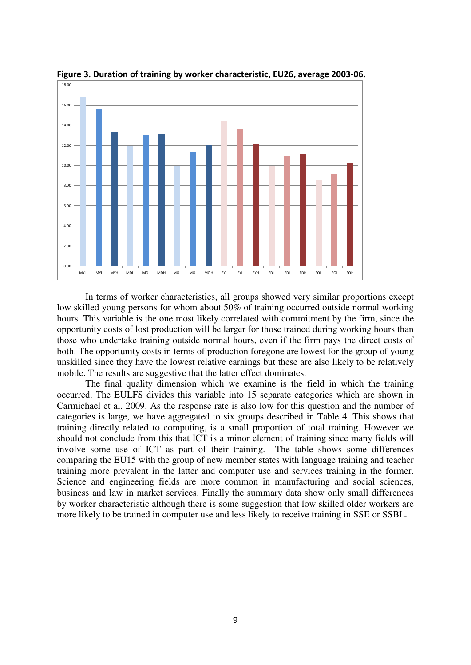

**Figure 3. Duration of training by worker characteristic, EU26, average 2003-06.** 

In terms of worker characteristics, all groups showed very similar proportions except low skilled young persons for whom about 50% of training occurred outside normal working hours. This variable is the one most likely correlated with commitment by the firm, since the opportunity costs of lost production will be larger for those trained during working hours than those who undertake training outside normal hours, even if the firm pays the direct costs of both. The opportunity costs in terms of production foregone are lowest for the group of young unskilled since they have the lowest relative earnings but these are also likely to be relatively mobile. The results are suggestive that the latter effect dominates.

The final quality dimension which we examine is the field in which the training occurred. The EULFS divides this variable into 15 separate categories which are shown in Carmichael et al. 2009. As the response rate is also low for this question and the number of categories is large, we have aggregated to six groups described in Table 4. This shows that training directly related to computing, is a small proportion of total training. However we should not conclude from this that ICT is a minor element of training since many fields will involve some use of ICT as part of their training. The table shows some differences comparing the EU15 with the group of new member states with language training and teacher training more prevalent in the latter and computer use and services training in the former. Science and engineering fields are more common in manufacturing and social sciences, business and law in market services. Finally the summary data show only small differences by worker characteristic although there is some suggestion that low skilled older workers are more likely to be trained in computer use and less likely to receive training in SSE or SSBL.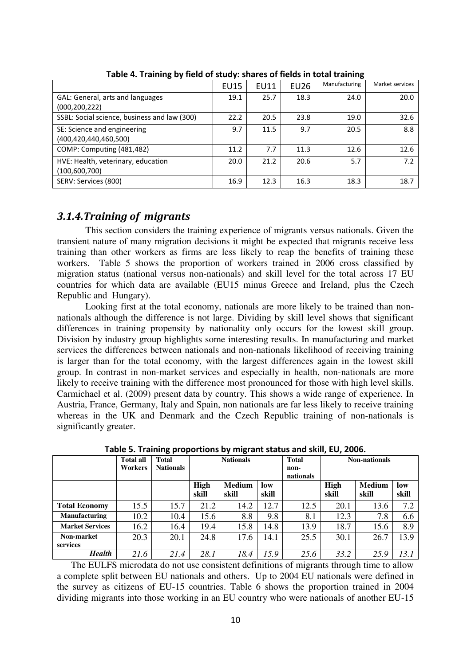|                                              | <b>EU15</b> | <b>EU11</b> | <b>EU26</b> | Manufacturing | Market services |
|----------------------------------------------|-------------|-------------|-------------|---------------|-----------------|
| GAL: General, arts and languages             | 19.1        | 25.7        | 18.3        | 24.0          | 20.0            |
| (000, 200, 222)                              |             |             |             |               |                 |
| SSBL: Social science, business and law (300) | 22.2        | 20.5        | 23.8        | 19.0          | 32.6            |
| SE: Science and engineering                  | 9.7         | 11.5        | 9.7         | 20.5          | 8.8             |
| (400, 420, 440, 460, 500)                    |             |             |             |               |                 |
| COMP: Computing (481,482)                    | 11.2        | 7.7         | 11.3        | 12.6          | 12.6            |
| HVE: Health, veterinary, education           | 20.0        | 21.2        | 20.6        | 5.7           | 7.2             |
| (100, 600, 700)                              |             |             |             |               |                 |
| SERV: Services (800)                         | 16.9        | 12.3        | 16.3        | 18.3          | 18.7            |
|                                              |             |             |             |               |                 |

**Table 4. Training by field of study: shares of fields in total training** 

## *3.1.4.Training of migrants*

This section considers the training experience of migrants versus nationals. Given the transient nature of many migration decisions it might be expected that migrants receive less training than other workers as firms are less likely to reap the benefits of training these workers. Table 5 shows the proportion of workers trained in 2006 cross classified by migration status (national versus non-nationals) and skill level for the total across 17 EU countries for which data are available (EU15 minus Greece and Ireland, plus the Czech Republic and Hungary).

Looking first at the total economy, nationals are more likely to be trained than nonnationals although the difference is not large. Dividing by skill level shows that significant differences in training propensity by nationality only occurs for the lowest skill group. Division by industry group highlights some interesting results. In manufacturing and market services the differences between nationals and non-nationals likelihood of receiving training is larger than for the total economy, with the largest differences again in the lowest skill group. In contrast in non-market services and especially in health, non-nationals are more likely to receive training with the difference most pronounced for those with high level skills. Carmichael et al. (2009) present data by country. This shows a wide range of experience. In Austria, France, Germany, Italy and Spain, non nationals are far less likely to receive training whereas in the UK and Denmark and the Czech Republic training of non-nationals is significantly greater.

|                        | <b>Total all</b><br>Workers | <b>Total</b><br><b>Nationals</b> |                      | <b>Nationals</b>       |              | <b>Total</b><br>non-<br>nationals |                      | <b>Non-nationals</b>   |              |
|------------------------|-----------------------------|----------------------------------|----------------------|------------------------|--------------|-----------------------------------|----------------------|------------------------|--------------|
|                        |                             |                                  | <b>High</b><br>skill | <b>Medium</b><br>skill | low<br>skill |                                   | <b>High</b><br>skill | <b>Medium</b><br>skill | low<br>skill |
| <b>Total Economy</b>   | 15.5                        | 15.7                             | 21.2                 | 14.2                   | 12.7         | 12.5                              | 20.1                 | 13.6                   | 7.2          |
| Manufacturing          | 10.2                        | 10.4                             | 15.6                 | 8.8                    | 9.8          | 8.1                               | 12.3                 | 7.8                    | 6.6          |
| <b>Market Services</b> | 16.2                        | 16.4                             | 19.4                 | 15.8                   | 14.8         | 13.9                              | 18.7                 | 15.6                   | 8.9          |
| Non-market<br>services | 20.3                        | 20.1                             | 24.8                 | 17.6                   | 14.1         | 25.5                              | 30.1                 | 26.7                   | 13.9         |
| <b>Health</b>          | 21.6                        | 21.4                             | 28.1                 | 18.4                   | 15.9         | 25.6                              | 33.2                 | 25.9                   | 13.1         |

**Table 5. Training proportions by migrant status and skill, EU, 2006.** 

The EULFS microdata do not use consistent definitions of migrants through time to allow a complete split between EU nationals and others. Up to 2004 EU nationals were defined in the survey as citizens of EU-15 countries. Table 6 shows the proportion trained in 2004 dividing migrants into those working in an EU country who were nationals of another EU-15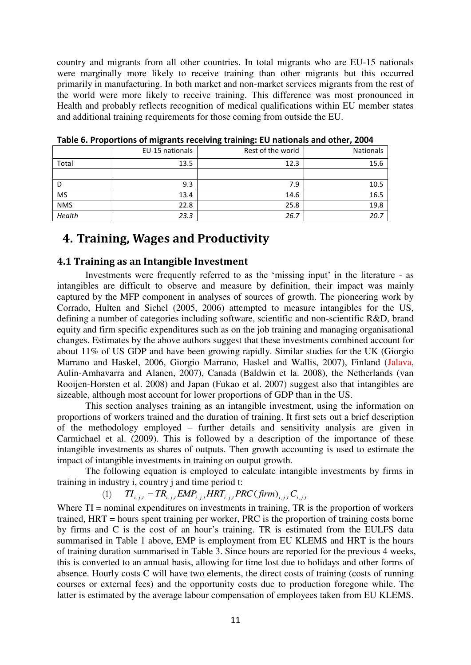country and migrants from all other countries. In total migrants who are EU-15 nationals were marginally more likely to receive training than other migrants but this occurred primarily in manufacturing. In both market and non-market services migrants from the rest of the world were more likely to receive training. This difference was most pronounced in Health and probably reflects recognition of medical qualifications within EU member states and additional training requirements for those coming from outside the EU.

| . <b>.</b> | . <u>.</u>      |                   |                  |
|------------|-----------------|-------------------|------------------|
|            | EU-15 nationals | Rest of the world | <b>Nationals</b> |
| Total      | 13.5            | 12.3              | 15.6             |
|            |                 |                   |                  |
| D          | 9.3             | 7.9               | 10.5             |
| <b>MS</b>  | 13.4            | 14.6              | 16.5             |
| <b>NMS</b> | 22.8            | 25.8              | 19.8             |
| Health     | 23.3            | 26.7              | 20.7             |

**Table 6. Proportions of migrants receiving training: EU nationals and other, 2004** 

## **4. Training, Wages and Productivity**

#### **4.1 Training as an Intangible Investment**

Investments were frequently referred to as the 'missing input' in the literature - as intangibles are difficult to observe and measure by definition, their impact was mainly captured by the MFP component in analyses of sources of growth. The pioneering work by Corrado, Hulten and Sichel (2005, 2006) attempted to measure intangibles for the US, defining a number of categories including software, scientific and non-scientific R&D, brand equity and firm specific expenditures such as on the job training and managing organisational changes. Estimates by the above authors suggest that these investments combined account for about 11% of US GDP and have been growing rapidly. Similar studies for the UK (Giorgio Marrano and Haskel, 2006, Giorgio Marrano, Haskel and Wallis, 2007), Finland (Jalava, Aulin-Amhavarra and Alanen, 2007), Canada (Baldwin et la. 2008), the Netherlands (van Rooijen-Horsten et al. 2008) and Japan (Fukao et al. 2007) suggest also that intangibles are sizeable, although most account for lower proportions of GDP than in the US.

This section analyses training as an intangible investment, using the information on proportions of workers trained and the duration of training. It first sets out a brief description of the methodology employed – further details and sensitivity analysis are given in Carmichael et al. (2009). This is followed by a description of the importance of these intangible investments as shares of outputs. Then growth accounting is used to estimate the impact of intangible investments in training on output growth.

The following equation is employed to calculate intangible investments by firms in training in industry i, country j and time period t:

$$
(1) \qquad TI_{i,j,t} = TR_{i,j,t} EMP_{i,j,t} HRT_{i,j,t} PRC(firm)_{i,j,t} C_{i,j,t}
$$

Where TI = nominal expenditures on investments in training, TR is the proportion of workers trained, HRT = hours spent training per worker, PRC is the proportion of training costs borne by firms and C is the cost of an hour's training. TR is estimated from the EULFS data summarised in Table 1 above, EMP is employment from EU KLEMS and HRT is the hours of training duration summarised in Table 3. Since hours are reported for the previous 4 weeks, this is converted to an annual basis, allowing for time lost due to holidays and other forms of absence. Hourly costs C will have two elements, the direct costs of training (costs of running courses or external fees) and the opportunity costs due to production foregone while. The latter is estimated by the average labour compensation of employees taken from EU KLEMS.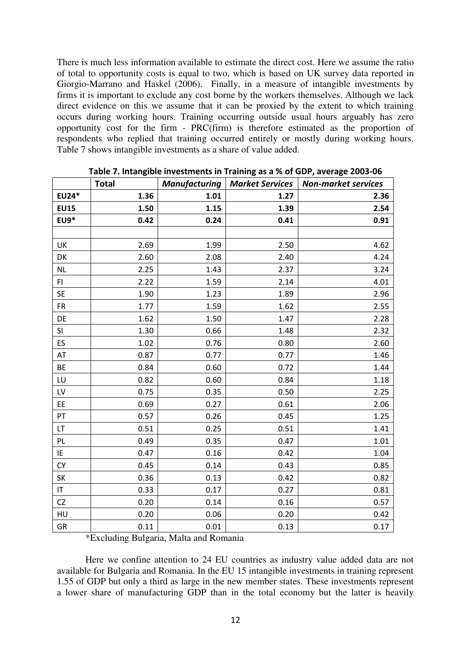There is much less information available to estimate the direct cost. Here we assume the ratio of total to opportunity costs is equal to two, which is based on UK survey data reported in Giorgio-Marrano and Haskel (2006). Finally, in a measure of intangible investments by firms it is important to exclude any cost borne by the workers themselves. Although we lack direct evidence on this we assume that it can be proxied by the extent to which training occurs during working hours. Training occurring outside usual hours arguably has zero opportunity cost for the firm - PRC(firm) is therefore estimated as the proportion of respondents who replied that training occurred entirely or mostly during working hours. Table 7 shows intangible investments as a share of value added.

|                        | <b>Total</b> | <b>Manufacturing</b> | <b>Market Services</b> | <b>Non-market services</b> |
|------------------------|--------------|----------------------|------------------------|----------------------------|
| EU24*                  | 1.36         | 1.01                 | 1.27                   | 2.36                       |
| <b>EU15</b>            | 1.50         | 1.15                 | 1.39                   | 2.54                       |
| <b>EU9*</b>            | 0.42         | 0.24                 | 0.41                   | 0.91                       |
|                        |              |                      |                        |                            |
| UK                     | 2.69         | 1.99                 | 2.50                   | 4.62                       |
| DK                     | 2.60         | 2.08                 | 2.40                   | 4.24                       |
| <b>NL</b>              | 2.25         | 1.43                 | 2.37                   | 3.24                       |
| FI.                    | 2.22         | 1.59                 | 2.14                   | 4.01                       |
| <b>SE</b>              | 1.90         | 1.23                 | 1.89                   | 2.96                       |
| <b>FR</b>              | 1.77         | 1.59                 | 1.62                   | 2.55                       |
| DE                     | 1.62         | 1.50                 | 1.47                   | 2.28                       |
| SI                     | 1.30         | 0.66                 | 1.48                   | 2.32                       |
| ES                     | 1.02         | 0.76                 | 0.80                   | 2.60                       |
| AT                     | 0.87         | 0.77                 | 0.77                   | 1.46                       |
| BE                     | 0.84         | 0.60                 | 0.72                   | 1.44                       |
| LU                     | 0.82         | 0.60                 | 0.84                   | 1.18                       |
| LV                     | 0.75         | 0.35                 | 0.50                   | 2.25                       |
| EE                     | 0.69         | 0.27                 | 0.61                   | 2.06                       |
| PT                     | 0.57         | 0.26                 | 0.45                   | 1.25                       |
| LT                     | 0.51         | 0.25                 | 0.51                   | 1.41                       |
| PL                     | 0.49         | 0.35                 | 0.47                   | 1.01                       |
| IE                     | 0.47         | 0.16                 | 0.42                   | 1.04                       |
| CY                     | 0.45         | 0.14                 | 0.43                   | 0.85                       |
| SK                     | 0.36         | 0.13                 | 0.42                   | 0.82                       |
| $\mathsf{I}\mathsf{T}$ | 0.33         | 0.17                 | 0.27                   | 0.81                       |
| CZ                     | 0.20         | 0.14                 | 0.16                   | 0.57                       |
| HU                     | 0.20         | 0.06                 | 0.20                   | 0.42                       |
| GR                     | 0.11         | 0.01                 | 0.13                   | 0.17                       |

**Table 7. Intangible investments in Training as a % of GDP, average 2003-06**

\*Excluding Bulgaria, Malta and Romania

Here we confine attention to 24 EU countries as industry value added data are not available for Bulgaria and Romania. In the EU 15 intangible investments in training represent 1.55 of GDP but only a third as large in the new member states. These investments represent a lower share of manufacturing GDP than in the total economy but the latter is heavily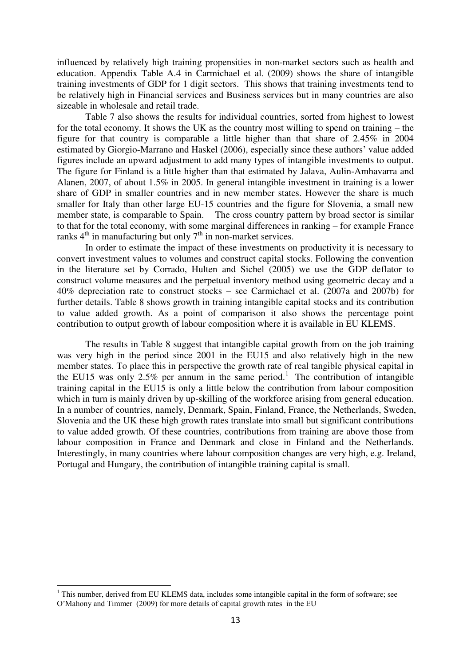influenced by relatively high training propensities in non-market sectors such as health and education. Appendix Table A.4 in Carmichael et al. (2009) shows the share of intangible training investments of GDP for 1 digit sectors. This shows that training investments tend to be relatively high in Financial services and Business services but in many countries are also sizeable in wholesale and retail trade.

Table 7 also shows the results for individual countries, sorted from highest to lowest for the total economy. It shows the UK as the country most willing to spend on training – the figure for that country is comparable a little higher than that share of 2.45% in 2004 estimated by Giorgio-Marrano and Haskel (2006), especially since these authors' value added figures include an upward adjustment to add many types of intangible investments to output. The figure for Finland is a little higher than that estimated by Jalava, Aulin-Amhavarra and Alanen, 2007, of about 1.5% in 2005. In general intangible investment in training is a lower share of GDP in smaller countries and in new member states. However the share is much smaller for Italy than other large EU-15 countries and the figure for Slovenia, a small new member state, is comparable to Spain. The cross country pattern by broad sector is similar to that for the total economy, with some marginal differences in ranking – for example France ranks  $4^{th}$  in manufacturing but only  $7^{th}$  in non-market services.

In order to estimate the impact of these investments on productivity it is necessary to convert investment values to volumes and construct capital stocks. Following the convention in the literature set by Corrado, Hulten and Sichel (2005) we use the GDP deflator to construct volume measures and the perpetual inventory method using geometric decay and a 40% depreciation rate to construct stocks – see Carmichael et al. (2007a and 2007b) for further details. Table 8 shows growth in training intangible capital stocks and its contribution to value added growth. As a point of comparison it also shows the percentage point contribution to output growth of labour composition where it is available in EU KLEMS.

The results in Table 8 suggest that intangible capital growth from on the job training was very high in the period since 2001 in the EU15 and also relatively high in the new member states. To place this in perspective the growth rate of real tangible physical capital in the EU15 was only  $2.5\%$  per annum in the same period.<sup>1</sup> The contribution of intangible training capital in the EU15 is only a little below the contribution from labour composition which in turn is mainly driven by up-skilling of the workforce arising from general education. In a number of countries, namely, Denmark, Spain, Finland, France, the Netherlands, Sweden, Slovenia and the UK these high growth rates translate into small but significant contributions to value added growth. Of these countries, contributions from training are above those from labour composition in France and Denmark and close in Finland and the Netherlands. Interestingly, in many countries where labour composition changes are very high, e.g. Ireland, Portugal and Hungary, the contribution of intangible training capital is small.

.

<sup>&</sup>lt;sup>1</sup> This number, derived from EU KLEMS data, includes some intangible capital in the form of software; see O'Mahony and Timmer (2009) for more details of capital growth rates in the EU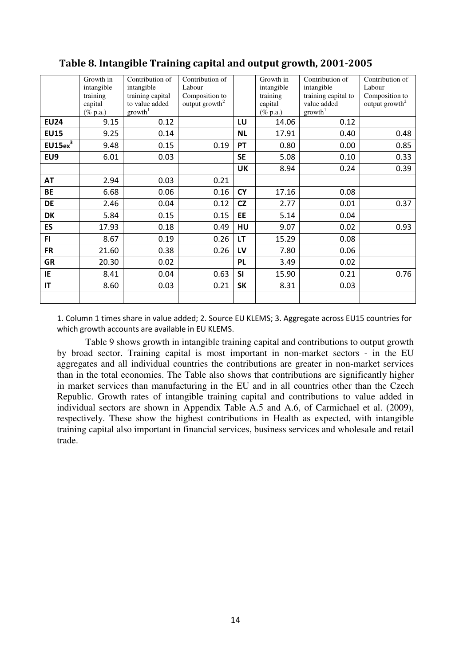|                     | Growth in   | Contribution of     | Contribution of            |           | Growth in   | Contribution of     | Contribution of            |
|---------------------|-------------|---------------------|----------------------------|-----------|-------------|---------------------|----------------------------|
|                     | intangible  | intangible          | Labour                     |           | intangible  | intangible          | Labour                     |
|                     | training    | training capital    | Composition to             |           | training    | training capital to | Composition to             |
|                     | capital     | to value added      | output growth <sup>2</sup> |           | capital     | value added         | output growth <sup>2</sup> |
|                     | $(\%$ p.a.) | growth <sup>1</sup> |                            |           | $(\%$ p.a.) | $\text{growth}^1$   |                            |
| <b>EU24</b>         | 9.15        | 0.12                |                            | LU        | 14.06       | 0.12                |                            |
| <b>EU15</b>         | 9.25        | 0.14                |                            | <b>NL</b> | 17.91       | 0.40                | 0.48                       |
| EU15ex <sup>3</sup> | 9.48        | 0.15                | 0.19                       | PT        | 0.80        | 0.00                | 0.85                       |
| EU9                 | 6.01        | 0.03                |                            | <b>SE</b> | 5.08        | 0.10                | 0.33                       |
|                     |             |                     |                            | <b>UK</b> | 8.94        | 0.24                | 0.39                       |
| <b>AT</b>           | 2.94        | 0.03                | 0.21                       |           |             |                     |                            |
| <b>BE</b>           | 6.68        | 0.06                | 0.16                       | <b>CY</b> | 17.16       | 0.08                |                            |
| <b>DE</b>           | 2.46        | 0.04                | 0.12                       | CZ        | 2.77        | 0.01                | 0.37                       |
| <b>DK</b>           | 5.84        | 0.15                | 0.15                       | EE        | 5.14        | 0.04                |                            |
| ES                  | 17.93       | 0.18                | 0.49                       | HU        | 9.07        | 0.02                | 0.93                       |
| FI.                 | 8.67        | 0.19                | 0.26                       | LT        | 15.29       | 0.08                |                            |
| <b>FR</b>           | 21.60       | 0.38                | 0.26                       | LV        | 7.80        | 0.06                |                            |
| <b>GR</b>           | 20.30       | 0.02                |                            | PL        | 3.49        | 0.02                |                            |
| IE                  | 8.41        | 0.04                | 0.63                       | <b>SI</b> | 15.90       | 0.21                | 0.76                       |
| IT                  | 8.60        | 0.03                | 0.21                       | <b>SK</b> | 8.31        | 0.03                |                            |
|                     |             |                     |                            |           |             |                     |                            |

## **Table 8. Intangible Training capital and output growth, 2001-2005**

1. Column 1 times share in value added; 2. Source EU KLEMS; 3. Aggregate across EU15 countries for which growth accounts are available in EU KLEMS.

Table 9 shows growth in intangible training capital and contributions to output growth by broad sector. Training capital is most important in non-market sectors - in the EU aggregates and all individual countries the contributions are greater in non-market services than in the total economies. The Table also shows that contributions are significantly higher in market services than manufacturing in the EU and in all countries other than the Czech Republic. Growth rates of intangible training capital and contributions to value added in individual sectors are shown in Appendix Table A.5 and A.6, of Carmichael et al. (2009), respectively. These show the highest contributions in Health as expected, with intangible training capital also important in financial services, business services and wholesale and retail trade.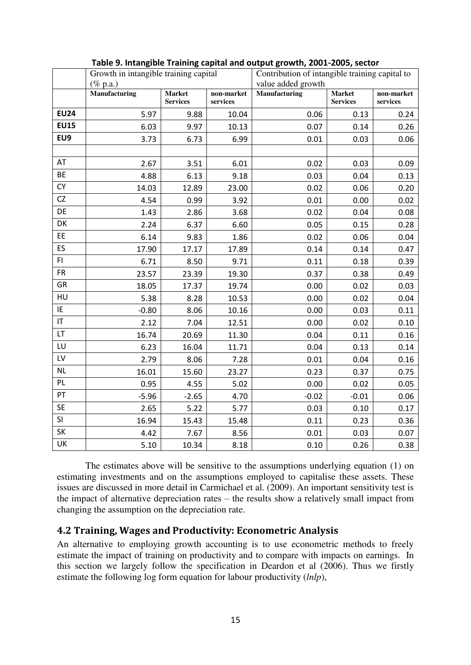|                        | Growth in intangible training capital |                                  |                        | Contribution of intangible training capital to |                                  |                        |
|------------------------|---------------------------------------|----------------------------------|------------------------|------------------------------------------------|----------------------------------|------------------------|
|                        | $(\%$ p.a.)                           |                                  |                        | value added growth                             |                                  |                        |
|                        | Manufacturing                         | <b>Market</b><br><b>Services</b> | non-market<br>services | Manufacturing                                  | <b>Market</b><br><b>Services</b> | non-market<br>services |
| <b>EU24</b>            | 5.97                                  | 9.88                             | 10.04                  | 0.06                                           | 0.13                             | 0.24                   |
| <b>EU15</b>            | 6.03                                  | 9.97                             | 10.13                  | 0.07                                           | 0.14                             | 0.26                   |
| EU9                    | 3.73                                  | 6.73                             | 6.99                   | 0.01                                           | 0.03                             | 0.06                   |
|                        |                                       |                                  |                        |                                                |                                  |                        |
| AT                     | 2.67                                  | 3.51                             | 6.01                   | 0.02                                           | 0.03                             | 0.09                   |
| BE                     | 4.88                                  | 6.13                             | 9.18                   | 0.03                                           | 0.04                             | 0.13                   |
| CY                     | 14.03                                 | 12.89                            | 23.00                  | 0.02                                           | 0.06                             | 0.20                   |
| CZ                     | 4.54                                  | 0.99                             | 3.92                   | 0.01                                           | 0.00                             | 0.02                   |
| DE                     | 1.43                                  | 2.86                             | 3.68                   | 0.02                                           | 0.04                             | 0.08                   |
| DK                     | 2.24                                  | 6.37                             | 6.60                   | 0.05                                           | 0.15                             | 0.28                   |
| EE                     | 6.14                                  | 9.83                             | 1.86                   | 0.02                                           | 0.06                             | 0.04                   |
| ES                     | 17.90                                 | 17.17                            | 17.89                  | 0.14                                           | 0.14                             | 0.47                   |
| FI.                    | 6.71                                  | 8.50                             | 9.71                   | 0.11                                           | 0.18                             | 0.39                   |
| <b>FR</b>              | 23.57                                 | 23.39                            | 19.30                  | 0.37                                           | 0.38                             | 0.49                   |
| GR                     | 18.05                                 | 17.37                            | 19.74                  | 0.00                                           | 0.02                             | 0.03                   |
| HU                     | 5.38                                  | 8.28                             | 10.53                  | 0.00                                           | 0.02                             | 0.04                   |
| IE                     | $-0.80$                               | 8.06                             | 10.16                  | 0.00                                           | 0.03                             | 0.11                   |
| $\mathsf{I}\mathsf{T}$ | 2.12                                  | 7.04                             | 12.51                  | 0.00                                           | 0.02                             | 0.10                   |
| LT                     | 16.74                                 | 20.69                            | 11.30                  | 0.04                                           | 0.11                             | 0.16                   |
| LU                     | 6.23                                  | 16.04                            | 11.71                  | 0.04                                           | 0.13                             | 0.14                   |
| LV                     | 2.79                                  | 8.06                             | 7.28                   | 0.01                                           | 0.04                             | 0.16                   |
| <b>NL</b>              | 16.01                                 | 15.60                            | 23.27                  | 0.23                                           | 0.37                             | 0.75                   |
| PL.                    | 0.95                                  | 4.55                             | 5.02                   | 0.00                                           | 0.02                             | 0.05                   |
| PT                     | $-5.96$                               | $-2.65$                          | 4.70                   | $-0.02$                                        | $-0.01$                          | 0.06                   |
| <b>SE</b>              | 2.65                                  | 5.22                             | 5.77                   | 0.03                                           | 0.10                             | 0.17                   |
| SI                     | 16.94                                 | 15.43                            | 15.48                  | 0.11                                           | 0.23                             | 0.36                   |
| SK                     | 4.42                                  | 7.67                             | 8.56                   | 0.01                                           | 0.03                             | 0.07                   |
| UK                     | 5.10                                  | 10.34                            | 8.18                   | 0.10                                           | 0.26                             | 0.38                   |

#### **Table 9. Intangible Training capital and output growth, 2001-2005, sector**

The estimates above will be sensitive to the assumptions underlying equation (1) on estimating investments and on the assumptions employed to capitalise these assets. These issues are discussed in more detail in Carmichael et al. (2009). An important sensitivity test is the impact of alternative depreciation rates – the results show a relatively small impact from changing the assumption on the depreciation rate.

### **4.2 Training, Wages and Productivity: Econometric Analysis**

An alternative to employing growth accounting is to use econometric methods to freely estimate the impact of training on productivity and to compare with impacts on earnings. In this section we largely follow the specification in Deardon et al (2006). Thus we firstly estimate the following log form equation for labour productivity (*lnlp*),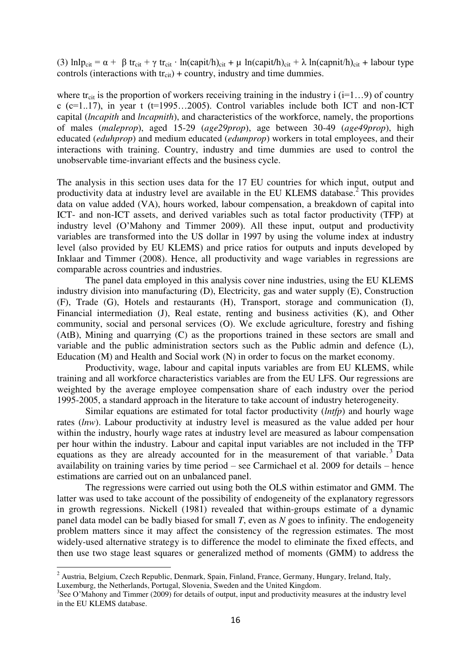(3)  $lnlp_{cit} = \alpha + \beta tr_{cit} + \gamma tr_{cit} \cdot ln(capit/h)_{cit} + \mu ln(capit/h)_{cit} + \lambda ln(capnit/h)_{cit} + labour type$ controls (interactions with  $tr_{cit}$ ) + country, industry and time dummies.

where tr<sub>cit</sub> is the proportion of workers receiving training in the industry i ( $i=1...9$ ) of country  $c$  (c=1..17), in year t (t=1995...2005). Control variables include both ICT and non-ICT capital (*lncapith* and *lncapnith*), and characteristics of the workforce, namely, the proportions of males (*maleprop*), aged 15-29 (*age29prop*), age between 30-49 (*age49prop*), high educated (*eduhprop*) and medium educated (*edumprop*) workers in total employees, and their interactions with training. Country, industry and time dummies are used to control the unobservable time-invariant effects and the business cycle.

The analysis in this section uses data for the 17 EU countries for which input, output and productivity data at industry level are available in the EU KLEMS database.<sup>2</sup> This provides data on value added (VA), hours worked, labour compensation, a breakdown of capital into ICT- and non-ICT assets, and derived variables such as total factor productivity (TFP) at industry level (O'Mahony and Timmer 2009). All these input, output and productivity variables are transformed into the US dollar in 1997 by using the volume index at industry level (also provided by EU KLEMS) and price ratios for outputs and inputs developed by Inklaar and Timmer (2008). Hence, all productivity and wage variables in regressions are comparable across countries and industries.

The panel data employed in this analysis cover nine industries, using the EU KLEMS industry division into manufacturing (D), Electricity, gas and water supply (E), Construction (F), Trade (G), Hotels and restaurants (H), Transport, storage and communication (I), Financial intermediation (J), Real estate, renting and business activities (K), and Other community, social and personal services (O). We exclude agriculture, forestry and fishing (AtB), Mining and quarrying (C) as the proportions trained in these sectors are small and variable and the public administration sectors such as the Public admin and defence (L), Education (M) and Health and Social work (N) in order to focus on the market economy.

Productivity, wage, labour and capital inputs variables are from EU KLEMS, while training and all workforce characteristics variables are from the EU LFS. Our regressions are weighted by the average employee compensation share of each industry over the period 1995-2005, a standard approach in the literature to take account of industry heterogeneity.

 Similar equations are estimated for total factor productivity (*lntfp*) and hourly wage rates (*lnw*). Labour productivity at industry level is measured as the value added per hour within the industry, hourly wage rates at industry level are measured as labour compensation per hour within the industry. Labour and capital input variables are not included in the TFP equations as they are already accounted for in the measurement of that variable.<sup>3</sup> Data availability on training varies by time period – see Carmichael et al. 2009 for details – hence estimations are carried out on an unbalanced panel.

The regressions were carried out using both the OLS within estimator and GMM. The latter was used to take account of the possibility of endogeneity of the explanatory regressors in growth regressions. Nickell (1981) revealed that within-groups estimate of a dynamic panel data model can be badly biased for small *T*, even as *N* goes to infinity. The endogeneity problem matters since it may affect the consistency of the regression estimates. The most widely-used alternative strategy is to difference the model to eliminate the fixed effects, and then use two stage least squares or generalized method of moments (GMM) to address the

1

<sup>&</sup>lt;sup>2</sup> Austria, Belgium, Czech Republic, Denmark, Spain, Finland, France, Germany, Hungary, Ireland, Italy, Luxemburg, the Netherlands, Portugal, Slovenia, Sweden and the United Kingdom.

<sup>&</sup>lt;sup>3</sup>See O'Mahony and Timmer (2009) for details of output, input and productivity measures at the industry level in the EU KLEMS database.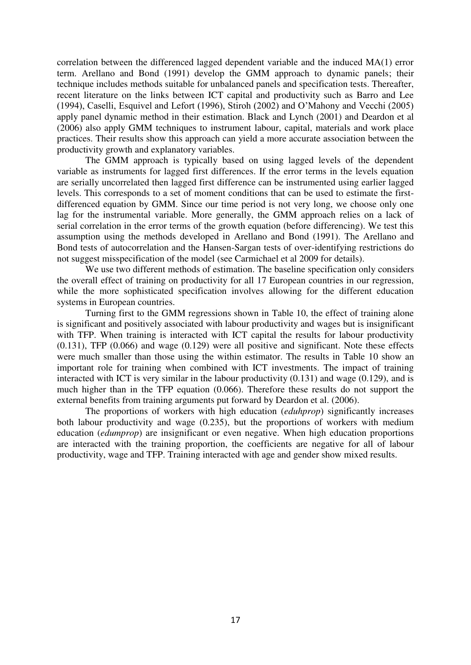correlation between the differenced lagged dependent variable and the induced MA(1) error term. Arellano and Bond (1991) develop the GMM approach to dynamic panels; their technique includes methods suitable for unbalanced panels and specification tests. Thereafter, recent literature on the links between ICT capital and productivity such as Barro and Lee (1994), Caselli, Esquivel and Lefort (1996), Stiroh (2002) and O'Mahony and Vecchi (2005) apply panel dynamic method in their estimation. Black and Lynch (2001) and Deardon et al (2006) also apply GMM techniques to instrument labour, capital, materials and work place practices. Their results show this approach can yield a more accurate association between the productivity growth and explanatory variables.

The GMM approach is typically based on using lagged levels of the dependent variable as instruments for lagged first differences. If the error terms in the levels equation are serially uncorrelated then lagged first difference can be instrumented using earlier lagged levels. This corresponds to a set of moment conditions that can be used to estimate the firstdifferenced equation by GMM. Since our time period is not very long, we choose only one lag for the instrumental variable. More generally, the GMM approach relies on a lack of serial correlation in the error terms of the growth equation (before differencing). We test this assumption using the methods developed in Arellano and Bond (1991). The Arellano and Bond tests of autocorrelation and the Hansen-Sargan tests of over-identifying restrictions do not suggest misspecification of the model (see Carmichael et al 2009 for details).

We use two different methods of estimation. The baseline specification only considers the overall effect of training on productivity for all 17 European countries in our regression, while the more sophisticated specification involves allowing for the different education systems in European countries.

Turning first to the GMM regressions shown in Table 10, the effect of training alone is significant and positively associated with labour productivity and wages but is insignificant with TFP. When training is interacted with ICT capital the results for labour productivity (0.131), TFP (0.066) and wage (0.129) were all positive and significant. Note these effects were much smaller than those using the within estimator. The results in Table 10 show an important role for training when combined with ICT investments. The impact of training interacted with ICT is very similar in the labour productivity (0.131) and wage (0.129), and is much higher than in the TFP equation (0.066). Therefore these results do not support the external benefits from training arguments put forward by Deardon et al. (2006).

The proportions of workers with high education (*eduhprop*) significantly increases both labour productivity and wage (0.235), but the proportions of workers with medium education (*edumprop*) are insignificant or even negative. When high education proportions are interacted with the training proportion, the coefficients are negative for all of labour productivity, wage and TFP. Training interacted with age and gender show mixed results.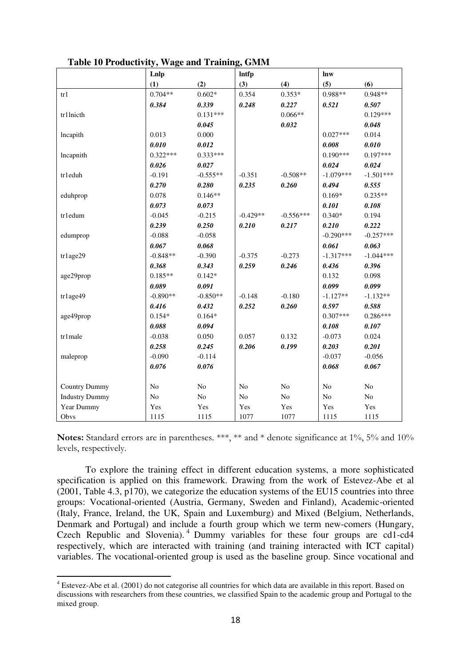|                       | Lnlp       |                | <b>Intfp</b>   |                | lnw            |                |
|-----------------------|------------|----------------|----------------|----------------|----------------|----------------|
|                       | (1)        | (2)            | (3)            | (4)            | (5)            | (6)            |
| tr1                   | $0.704**$  | $0.602*$       | 0.354          | $0.353*$       | $0.988**$      | 0.948**        |
|                       | 0.384      | 0.339          | 0.248          | 0.227          | 0.521          | 0.507          |
| tr1lnicth             |            | $0.131***$     |                | $0.066**$      |                | $0.129***$     |
|                       |            | 0.045          |                | 0.032          |                | 0.048          |
| lncapith              | 0.013      | 0.000          |                |                | $0.027***$     | 0.014          |
|                       | 0.010      | 0.012          |                |                | 0.008          | 0.010          |
| lncapnith             | $0.322***$ | $0.333***$     |                |                | $0.190***$     | $0.197***$     |
|                       | 0.026      | 0.027          |                |                | 0.024          | 0.024          |
| tr1eduh               | $-0.191$   | $-0.555**$     | $-0.351$       | $-0.508**$     | $-1.079***$    | $-1.501***$    |
|                       | 0.270      | 0.280          | 0.235          | 0.260          | 0.494          | 0.555          |
| eduhprop              | 0.078      | $0.146**$      |                |                | $0.169*$       | $0.235**$      |
|                       | 0.073      | 0.073          |                |                | 0.101          | 0.108          |
| tr1edum               | $-0.045$   | $-0.215$       | $-0.429**$     | $-0.556***$    | $0.340*$       | 0.194          |
|                       | 0.239      | 0.250          | 0.210          | 0.217          | 0.210          | 0.222          |
| edumprop              | $-0.088$   | $-0.058$       |                |                | $-0.290***$    | $-0.257***$    |
|                       | 0.067      | 0.068          |                |                | 0.061          | 0.063          |
| tr1age29              | $-0.848**$ | $-0.390$       | $-0.375$       | $-0.273$       | $-1.317***$    | $-1.044***$    |
|                       | 0.368      | 0.343          | 0.259          | 0.246          | 0.436          | 0.396          |
| age29prop             | $0.185**$  | $0.142*$       |                |                | 0.132          | 0.098          |
|                       | 0.089      | 0.091          |                |                | 0.099          | 0.099          |
| tr1age49              | $-0.890**$ | $-0.850**$     | $-0.148$       | $-0.180$       | $-1.127**$     | $-1.132**$     |
|                       | 0.416      | 0.432          | 0.252          | 0.260          | 0.597          | 0.588          |
| age49prop             | $0.154*$   | $0.164*$       |                |                | $0.307***$     | $0.286***$     |
|                       | 0.088      | 0.094          |                |                | 0.108          | 0.107          |
| tr1male               | $-0.038$   | 0.050          | 0.057          | 0.132          | $-0.073$       | 0.024          |
|                       | 0.258      | 0.245          | 0.206          | 0.199          | 0.203          | 0.201          |
| maleprop              | $-0.090$   | $-0.114$       |                |                | $-0.037$       | $-0.056$       |
|                       | 0.076      | 0.076          |                |                | 0.068          | 0.067          |
|                       |            |                |                |                |                |                |
| <b>Country Dummy</b>  | No         | N <sub>o</sub> | No             | N <sub>o</sub> | N <sub>o</sub> | N <sub>o</sub> |
| <b>Industry Dummy</b> | No         | No             | N <sub>o</sub> | No             | No             | No             |
| Year Dummy            | Yes        | Yes            | Yes            | Yes            | Yes            | Yes            |
| Obvs                  | 1115       | 1115           | 1077           | 1077           | 1115           | 1115           |

**Table 10 Productivity, Wage and Training, GMM** 

Notes: Standard errors are in parentheses. \*\*\*, \*\* and \* denote significance at 1%, 5% and 10% levels, respectively.

To explore the training effect in different education systems, a more sophisticated specification is applied on this framework. Drawing from the work of Estevez-Abe et al (2001, Table 4.3, p170), we categorize the education systems of the EU15 countries into three groups: Vocational-oriented (Austria, Germany, Sweden and Finland), Academic-oriented (Italy, France, Ireland, the UK, Spain and Luxemburg) and Mixed (Belgium, Netherlands, Denmark and Portugal) and include a fourth group which we term new-comers (Hungary, Czech Republic and Slovenia). <sup>4</sup> Dummy variables for these four groups are cd1-cd4 respectively, which are interacted with training (and training interacted with ICT capital) variables. The vocational-oriented group is used as the baseline group. Since vocational and

.

<sup>&</sup>lt;sup>4</sup> Estevez-Abe et al. (2001) do not categorise all countries for which data are available in this report. Based on discussions with researchers from these countries, we classified Spain to the academic group and Portugal to the mixed group.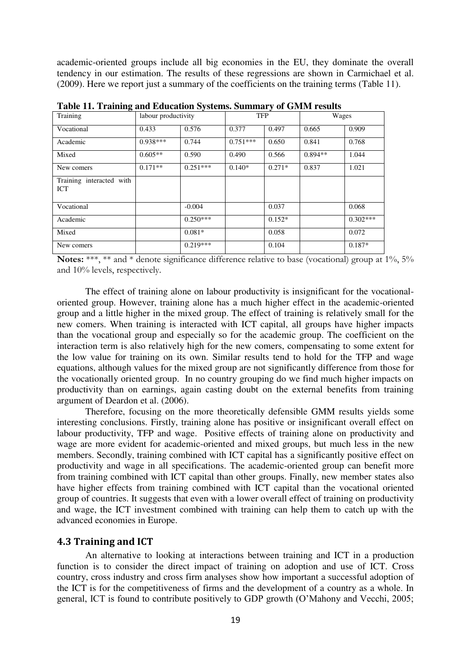academic-oriented groups include all big economies in the EU, they dominate the overall tendency in our estimation. The results of these regressions are shown in Carmichael et al. (2009). Here we report just a summary of the coefficients on the training terms (Table 11).

| Training                        | labour productivity |            | <b>TFP</b> |          | Wages     |            |
|---------------------------------|---------------------|------------|------------|----------|-----------|------------|
| Vocational                      | 0.433               | 0.576      | 0.377      | 0.497    | 0.665     | 0.909      |
| Academic                        | $0.938***$          | 0.744      | $0.751***$ | 0.650    | 0.841     | 0.768      |
| Mixed                           | $0.605**$           | 0.590      | 0.490      | 0.566    | $0.894**$ | 1.044      |
| New comers                      | $0.171**$           | $0.251***$ | $0.140*$   | $0.271*$ | 0.837     | 1.021      |
| Training interacted with<br>ICT |                     |            |            |          |           |            |
| Vocational                      |                     | $-0.004$   |            | 0.037    |           | 0.068      |
| Academic                        |                     | $0.250***$ |            | $0.152*$ |           | $0.302***$ |
| Mixed                           |                     | $0.081*$   |            | 0.058    |           | 0.072      |
| New comers                      |                     | $0.219***$ |            | 0.104    |           | $0.187*$   |

**Table 11. Training and Education Systems. Summary of GMM results** 

Notes: \*\*\*, \*\* and \* denote significance difference relative to base (vocational) group at 1%, 5% and 10% levels, respectively.

The effect of training alone on labour productivity is insignificant for the vocationaloriented group. However, training alone has a much higher effect in the academic-oriented group and a little higher in the mixed group. The effect of training is relatively small for the new comers. When training is interacted with ICT capital, all groups have higher impacts than the vocational group and especially so for the academic group. The coefficient on the interaction term is also relatively high for the new comers, compensating to some extent for the low value for training on its own. Similar results tend to hold for the TFP and wage equations, although values for the mixed group are not significantly difference from those for the vocationally oriented group. In no country grouping do we find much higher impacts on productivity than on earnings, again casting doubt on the external benefits from training argument of Deardon et al. (2006).

Therefore, focusing on the more theoretically defensible GMM results yields some interesting conclusions. Firstly, training alone has positive or insignificant overall effect on labour productivity, TFP and wage. Positive effects of training alone on productivity and wage are more evident for academic-oriented and mixed groups, but much less in the new members. Secondly, training combined with ICT capital has a significantly positive effect on productivity and wage in all specifications. The academic-oriented group can benefit more from training combined with ICT capital than other groups. Finally, new member states also have higher effects from training combined with ICT capital than the vocational oriented group of countries. It suggests that even with a lower overall effect of training on productivity and wage, the ICT investment combined with training can help them to catch up with the advanced economies in Europe.

#### **4.3 Training and ICT**

An alternative to looking at interactions between training and ICT in a production function is to consider the direct impact of training on adoption and use of ICT. Cross country, cross industry and cross firm analyses show how important a successful adoption of the ICT is for the competitiveness of firms and the development of a country as a whole. In general, ICT is found to contribute positively to GDP growth (O'Mahony and Vecchi, 2005;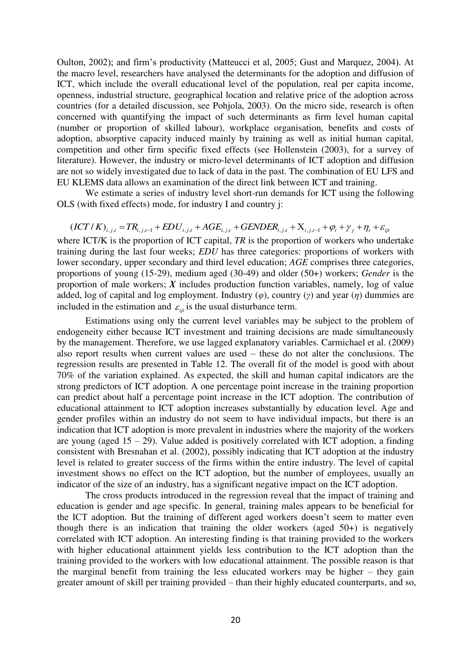Oulton, 2002); and firm's productivity (Matteucci et al, 2005; Gust and Marquez, 2004). At the macro level, researchers have analysed the determinants for the adoption and diffusion of ICT, which include the overall educational level of the population, real per capita income, openness, industrial structure, geographical location and relative price of the adoption across countries (for a detailed discussion, see Pohjola, 2003). On the micro side, research is often concerned with quantifying the impact of such determinants as firm level human capital (number or proportion of skilled labour), workplace organisation, benefits and costs of adoption, absorptive capacity induced mainly by training as well as initial human capital, competition and other firm specific fixed effects (see Hollenstein (2003), for a survey of literature). However, the industry or micro-level determinants of ICT adoption and diffusion are not so widely investigated due to lack of data in the past. The combination of EU LFS and EU KLEMS data allows an examination of the direct link between ICT and training.

We estimate a series of industry level short-run demands for ICT using the following OLS (with fixed effects) mode, for industry I and country j:

$$
(ICT/K)_{i,j,t} = TR_{i,j,t-1} + EDU_{i,j,t} + AGE_{i,j,t} + GENDER_{i,j,t} + X_{i,j,t-1} + \varphi_i + \gamma_j + \eta_t + \varepsilon_{ijt}
$$

where ICT/K is the proportion of ICT capital, *TR* is the proportion of workers who undertake training during the last four weeks; *EDU* has three categories: proportions of workers with lower secondary, upper secondary and third level education; *AGE* comprises three categories, proportions of young (15-29), medium aged (30-49) and older (50+) workers; *Gender* is the proportion of male workers; *X* includes production function variables, namely, log of value added, log of capital and log employment. Industry (*φ*), country (*γ*) and year (*η*) dummies are included in the estimation and  $\varepsilon_{\text{int}}$  is the usual disturbance term.

Estimations using only the current level variables may be subject to the problem of endogeneity either because ICT investment and training decisions are made simultaneously by the management. Therefore, we use lagged explanatory variables. Carmichael et al. (2009) also report results when current values are used – these do not alter the conclusions. The regression results are presented in Table 12. The overall fit of the model is good with about 70% of the variation explained. As expected, the skill and human capital indicators are the strong predictors of ICT adoption. A one percentage point increase in the training proportion can predict about half a percentage point increase in the ICT adoption. The contribution of educational attainment to ICT adoption increases substantially by education level. Age and gender profiles within an industry do not seem to have individual impacts, but there is an indication that ICT adoption is more prevalent in industries where the majority of the workers are young (aged  $15 - 29$ ). Value added is positively correlated with ICT adoption, a finding consistent with Bresnahan et al. (2002), possibly indicating that ICT adoption at the industry level is related to greater success of the firms within the entire industry. The level of capital investment shows no effect on the ICT adoption, but the number of employees, usually an indicator of the size of an industry, has a significant negative impact on the ICT adoption.

The cross products introduced in the regression reveal that the impact of training and education is gender and age specific. In general, training males appears to be beneficial for the ICT adoption. But the training of different aged workers doesn't seem to matter even though there is an indication that training the older workers (aged 50+) is negatively correlated with ICT adoption. An interesting finding is that training provided to the workers with higher educational attainment yields less contribution to the ICT adoption than the training provided to the workers with low educational attainment. The possible reason is that the marginal benefit from training the less educated workers may be higher – they gain greater amount of skill per training provided – than their highly educated counterparts, and so,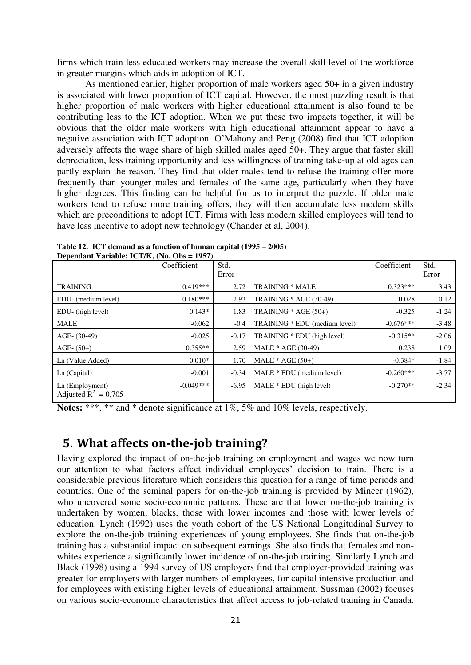firms which train less educated workers may increase the overall skill level of the workforce in greater margins which aids in adoption of ICT.

As mentioned earlier, higher proportion of male workers aged 50+ in a given industry is associated with lower proportion of ICT capital. However, the most puzzling result is that higher proportion of male workers with higher educational attainment is also found to be contributing less to the ICT adoption. When we put these two impacts together, it will be obvious that the older male workers with high educational attainment appear to have a negative association with ICT adoption. O'Mahony and Peng (2008) find that ICT adoption adversely affects the wage share of high skilled males aged 50+. They argue that faster skill depreciation, less training opportunity and less willingness of training take-up at old ages can partly explain the reason. They find that older males tend to refuse the training offer more frequently than younger males and females of the same age, particularly when they have higher degrees. This finding can be helpful for us to interpret the puzzle. If older male workers tend to refuse more training offers, they will then accumulate less modern skills which are preconditions to adopt ICT. Firms with less modern skilled employees will tend to have less incentive to adopt new technology (Chander et al, 2004).

|                        | Coefficient | Std.    |                               | Coefficient | Std.    |
|------------------------|-------------|---------|-------------------------------|-------------|---------|
|                        |             | Error   |                               |             | Error   |
| <b>TRAINING</b>        | $0.419***$  | 2.72    | <b>TRAINING * MALE</b>        | $0.323***$  | 3.43    |
| EDU- (medium level)    | $0.180***$  | 2.93    | <b>TRAINING</b> * AGE (30-49) | 0.028       | 0.12    |
| EDU- (high level)      | $0.143*$    | 1.83    | TRAINING $*$ AGE (50+)        | $-0.325$    | $-1.24$ |
| <b>MALE</b>            | $-0.062$    | $-0.4$  | TRAINING * EDU (medium level) | $-0.676***$ | $-3.48$ |
| $AGE- (30-49)$         | $-0.025$    | $-0.17$ | TRAINING * EDU (high level)   | $-0.315**$  | $-2.06$ |
| $AGE- (50+)$           | $0.355**$   | 2.59    | MALE * AGE (30-49)            | 0.238       | 1.09    |
| Ln (Value Added)       | $0.010*$    | 1.70    | MALE $*$ AGE $(50+)$          | $-0.384*$   | $-1.84$ |
| Ln (Capital)           | $-0.001$    | $-0.34$ | MALE * EDU (medium level)     | $-0.260***$ | $-3.77$ |
| Ln (Employment)        | $-0.049***$ | $-6.95$ | MALE * EDU (high level)       | $-0.270**$  | $-2.34$ |
| Adjusted $R^2 = 0.705$ |             |         |                               |             |         |

**Table 12. ICT demand as a function of human capital (1995 – 2005) Dependant Variable: ICT/K, (No. Obs = 1957)** 

**Notes:** \*\*\*, \*\* and \* denote significance at 1%, 5% and 10% levels, respectively.

## **5. What affects on-the-job training?**

Having explored the impact of on-the-job training on employment and wages we now turn our attention to what factors affect individual employees' decision to train. There is a considerable previous literature which considers this question for a range of time periods and countries. One of the seminal papers for on-the-job training is provided by Mincer (1962), who uncovered some socio-economic patterns. These are that lower on-the-job training is undertaken by women, blacks, those with lower incomes and those with lower levels of education. Lynch (1992) uses the youth cohort of the US National Longitudinal Survey to explore the on-the-job training experiences of young employees. She finds that on-the-job training has a substantial impact on subsequent earnings. She also finds that females and nonwhites experience a significantly lower incidence of on-the-job training. Similarly Lynch and Black (1998) using a 1994 survey of US employers find that employer-provided training was greater for employers with larger numbers of employees, for capital intensive production and for employees with existing higher levels of educational attainment. Sussman (2002) focuses on various socio-economic characteristics that affect access to job-related training in Canada.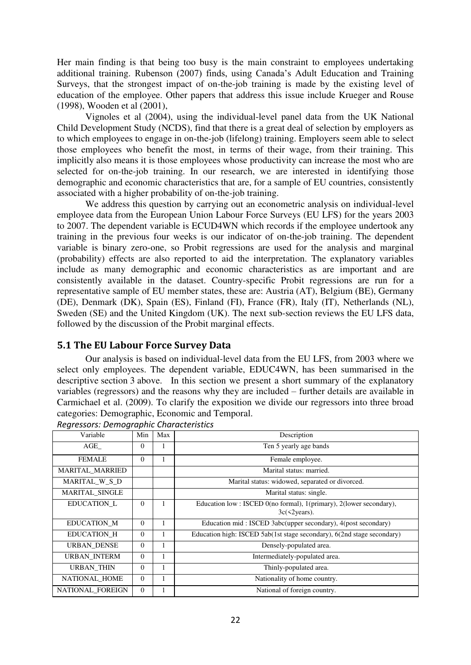Her main finding is that being too busy is the main constraint to employees undertaking additional training. Rubenson (2007) finds, using Canada's Adult Education and Training Surveys, that the strongest impact of on-the-job training is made by the existing level of education of the employee. Other papers that address this issue include Krueger and Rouse (1998), Wooden et al (2001),

Vignoles et al (2004), using the individual-level panel data from the UK National Child Development Study (NCDS), find that there is a great deal of selection by employers as to which employees to engage in on-the-job (lifelong) training. Employers seem able to select those employees who benefit the most, in terms of their wage, from their training. This implicitly also means it is those employees whose productivity can increase the most who are selected for on-the-job training. In our research, we are interested in identifying those demographic and economic characteristics that are, for a sample of EU countries, consistently associated with a higher probability of on-the-job training.

We address this question by carrying out an econometric analysis on individual-level employee data from the European Union Labour Force Surveys (EU LFS) for the years 2003 to 2007. The dependent variable is ECUD4WN which records if the employee undertook any training in the previous four weeks is our indicator of on-the-job training. The dependent variable is binary zero-one, so Probit regressions are used for the analysis and marginal (probability) effects are also reported to aid the interpretation. The explanatory variables include as many demographic and economic characteristics as are important and are consistently available in the dataset. Country-specific Probit regressions are run for a representative sample of EU member states, these are: Austria (AT), Belgium (BE), Germany (DE), Denmark (DK), Spain (ES), Finland (FI), France (FR), Italy (IT), Netherlands (NL), Sweden (SE) and the United Kingdom (UK). The next sub-section reviews the EU LFS data, followed by the discussion of the Probit marginal effects.

### **5.1 The EU Labour Force Survey Data**

Our analysis is based on individual-level data from the EU LFS, from 2003 where we select only employees. The dependent variable, EDUC4WN, has been summarised in the descriptive section 3 above. In this section we present a short summary of the explanatory variables (regressors) and the reasons why they are included – further details are available in Carmichael et al. (2009). To clarify the exposition we divide our regressors into three broad categories: Demographic, Economic and Temporal.

| Variable           | Min      | Max | Description                                                                               |
|--------------------|----------|-----|-------------------------------------------------------------------------------------------|
| AGE                | $\Omega$ | 1   | Ten 5 yearly age bands                                                                    |
| <b>FEMALE</b>      | $\Omega$ | 1   | Female employee.                                                                          |
| MARITAL_MARRIED    |          |     | Marital status: married.                                                                  |
| MARITAL_W_S_D      |          |     | Marital status: widowed, separated or divorced.                                           |
| MARITAL_SINGLE     |          |     | Marital status: single.                                                                   |
| EDUCATION L        | $\Omega$ | 1   | Education low: ISCED 0(no formal), 1(primary), 2(lower secondary),<br>$3c(\leq 2$ years). |
| EDUCATION M        | $\Omega$ | 1   | Education mid: ISCED 3abc(upper secondary), 4(post secondary)                             |
| <b>EDUCATION H</b> | $\Omega$ | 1   | Education high: ISCED 5ab(1st stage secondary), 6(2nd stage secondary)                    |
| <b>URBAN DENSE</b> | $\Omega$ | 1   | Densely-populated area.                                                                   |
| URBAN_INTERM       | $\Omega$ | 1   | Intermediately-populated area.                                                            |
| <b>URBAN THIN</b>  | $\Omega$ | 1   | Thinly-populated area.                                                                    |
| NATIONAL_HOME      | $\Omega$ | 1   | Nationality of home country.                                                              |
| NATIONAL FOREIGN   | $\Omega$ | 1   | National of foreign country.                                                              |

*Regressors: Demographic Characteristics*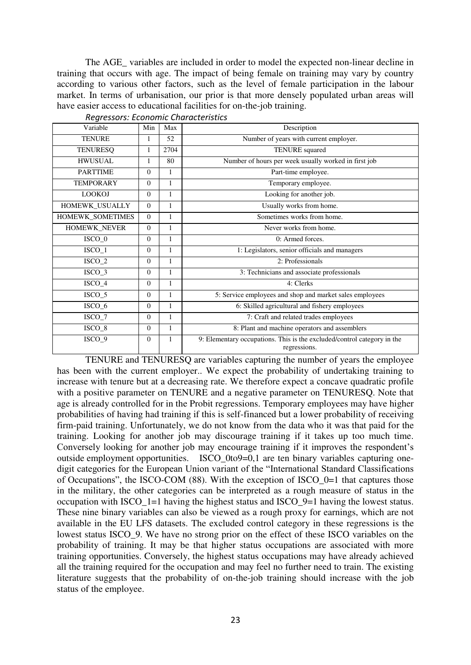The AGE variables are included in order to model the expected non-linear decline in training that occurs with age. The impact of being female on training may vary by country according to various other factors, such as the level of female participation in the labour market. In terms of urbanisation, our prior is that more densely populated urban areas will have easier access to educational facilities for on-the-job training.

| Variable           | Min      | Max          | Description                                                                             |  |  |
|--------------------|----------|--------------|-----------------------------------------------------------------------------------------|--|--|
| <b>TENURE</b>      | 1        | 52           | Number of years with current employer.                                                  |  |  |
| <b>TENURESQ</b>    |          | 2704         | <b>TENURE</b> squared                                                                   |  |  |
| <b>HWUSUAL</b>     | 1        | 80           | Number of hours per week usually worked in first job                                    |  |  |
| <b>PARTTIME</b>    | $\Omega$ | $\mathbf{1}$ | Part-time employee.                                                                     |  |  |
| <b>TEMPORARY</b>   | $\Omega$ | 1            | Temporary employee.                                                                     |  |  |
| <b>LOOKOJ</b>      | $\Omega$ | 1            | Looking for another job.                                                                |  |  |
| HOMEWK_USUALLY     | $\Omega$ | 1            | Usually works from home.                                                                |  |  |
| HOMEWK_SOMETIMES   | $\Omega$ | 1            | Sometimes works from home.                                                              |  |  |
| HOMEWK_NEVER       | $\Omega$ | 1            | Never works from home.                                                                  |  |  |
| ISCO_0             | $\Omega$ | 1            | 0: Armed forces.                                                                        |  |  |
| $ISCO_1$           | $\Omega$ | 1            | 1: Legislators, senior officials and managers                                           |  |  |
| $ISCO_2$           | $\Omega$ | 1            | 2: Professionals                                                                        |  |  |
| $ISCO_3$           | $\Omega$ | 1            | 3: Technicians and associate professionals                                              |  |  |
| $ISCO_4$           | $\Omega$ | 1            | 4: Clerks                                                                               |  |  |
| $ISCO_5$           | $\Omega$ | 1            | 5: Service employees and shop and market sales employees                                |  |  |
| ISCO_6             | $\Omega$ | $\mathbf{1}$ | 6: Skilled agricultural and fishery employees                                           |  |  |
| $ISCO_7$           | $\Omega$ | 1            | 7: Craft and related trades employees                                                   |  |  |
| ISCO_8             | $\Omega$ | 1            | 8: Plant and machine operators and assemblers                                           |  |  |
| ISCO <sub>_9</sub> | $\Omega$ | 1            | 9: Elementary occupations. This is the excluded/control category in the<br>regressions. |  |  |

*Regressors: Economic Characteristics* 

TENURE and TENURESQ are variables capturing the number of years the employee has been with the current employer.. We expect the probability of undertaking training to increase with tenure but at a decreasing rate. We therefore expect a concave quadratic profile with a positive parameter on TENURE and a negative parameter on TENURESQ. Note that age is already controlled for in the Probit regressions. Temporary employees may have higher probabilities of having had training if this is self-financed but a lower probability of receiving firm-paid training. Unfortunately, we do not know from the data who it was that paid for the training. Looking for another job may discourage training if it takes up too much time. Conversely looking for another job may encourage training if it improves the respondent's outside employment opportunities. ISCO\_0to9=0,1 are ten binary variables capturing onedigit categories for the European Union variant of the "International Standard Classifications of Occupations", the ISCO-COM (88). With the exception of ISCO\_0=1 that captures those in the military, the other categories can be interpreted as a rough measure of status in the occupation with ISCO\_1=1 having the highest status and ISCO\_9=1 having the lowest status. These nine binary variables can also be viewed as a rough proxy for earnings, which are not available in the EU LFS datasets. The excluded control category in these regressions is the lowest status ISCO 9. We have no strong prior on the effect of these ISCO variables on the probability of training. It may be that higher status occupations are associated with more training opportunities. Conversely, the highest status occupations may have already achieved all the training required for the occupation and may feel no further need to train. The existing literature suggests that the probability of on-the-job training should increase with the job status of the employee.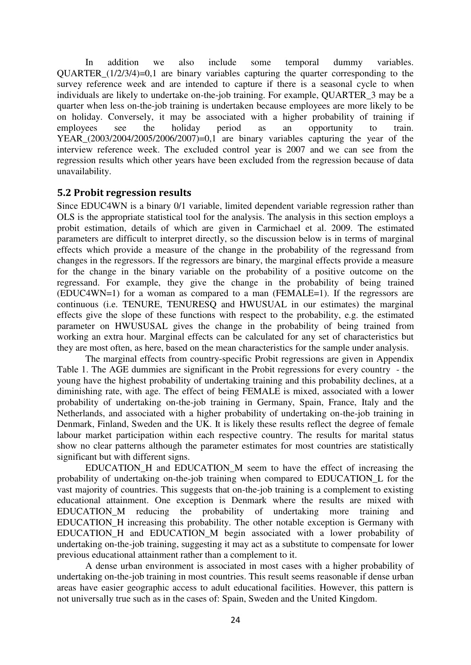In addition we also include some temporal dummy variables. QUARTER\_(1/2/3/4)=0,1 are binary variables capturing the quarter corresponding to the survey reference week and are intended to capture if there is a seasonal cycle to when individuals are likely to undertake on-the-job training. For example, QUARTER\_3 may be a quarter when less on-the-job training is undertaken because employees are more likely to be on holiday. Conversely, it may be associated with a higher probability of training if employees see the holiday period as an opportunity to train. YEAR  $(2003/2004/2005/2006/2007)=0,1$  are binary variables capturing the year of the interview reference week. The excluded control year is 2007 and we can see from the regression results which other years have been excluded from the regression because of data unavailability.

### **5.2 Probit regression results**

Since EDUC4WN is a binary 0/1 variable, limited dependent variable regression rather than OLS is the appropriate statistical tool for the analysis. The analysis in this section employs a probit estimation, details of which are given in Carmichael et al. 2009. The estimated parameters are difficult to interpret directly, so the discussion below is in terms of marginal effects which provide a measure of the change in the probability of the regressand from changes in the regressors. If the regressors are binary, the marginal effects provide a measure for the change in the binary variable on the probability of a positive outcome on the regressand. For example, they give the change in the probability of being trained (EDUC4WN=1) for a woman as compared to a man (FEMALE=1). If the regressors are continuous (i.e. TENURE, TENURESQ and HWUSUAL in our estimates) the marginal effects give the slope of these functions with respect to the probability, e.g. the estimated parameter on HWUSUSAL gives the change in the probability of being trained from working an extra hour. Marginal effects can be calculated for any set of characteristics but they are most often, as here, based on the mean characteristics for the sample under analysis.

The marginal effects from country-specific Probit regressions are given in Appendix Table 1. The AGE dummies are significant in the Probit regressions for every country - the young have the highest probability of undertaking training and this probability declines, at a diminishing rate, with age. The effect of being FEMALE is mixed, associated with a lower probability of undertaking on-the-job training in Germany, Spain, France, Italy and the Netherlands, and associated with a higher probability of undertaking on-the-job training in Denmark, Finland, Sweden and the UK. It is likely these results reflect the degree of female labour market participation within each respective country. The results for marital status show no clear patterns although the parameter estimates for most countries are statistically significant but with different signs.

EDUCATION\_H and EDUCATION\_M seem to have the effect of increasing the probability of undertaking on-the-job training when compared to EDUCATION\_L for the vast majority of countries. This suggests that on-the-job training is a complement to existing educational attainment. One exception is Denmark where the results are mixed with EDUCATION\_M reducing the probability of undertaking more training and EDUCATION\_H increasing this probability. The other notable exception is Germany with EDUCATION\_H and EDUCATION\_M begin associated with a lower probability of undertaking on-the-job training, suggesting it may act as a substitute to compensate for lower previous educational attainment rather than a complement to it.

A dense urban environment is associated in most cases with a higher probability of undertaking on-the-job training in most countries. This result seems reasonable if dense urban areas have easier geographic access to adult educational facilities. However, this pattern is not universally true such as in the cases of: Spain, Sweden and the United Kingdom.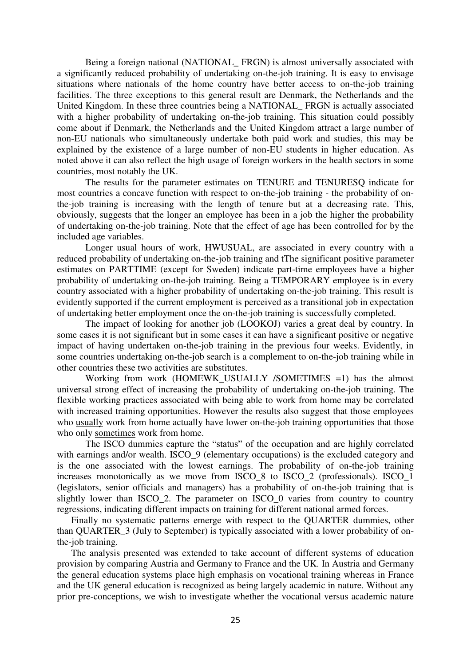Being a foreign national (NATIONAL FRGN) is almost universally associated with a significantly reduced probability of undertaking on-the-job training. It is easy to envisage situations where nationals of the home country have better access to on-the-job training facilities. The three exceptions to this general result are Denmark, the Netherlands and the United Kingdom. In these three countries being a NATIONAL\_ FRGN is actually associated with a higher probability of undertaking on-the-job training. This situation could possibly come about if Denmark, the Netherlands and the United Kingdom attract a large number of non-EU nationals who simultaneously undertake both paid work and studies, this may be explained by the existence of a large number of non-EU students in higher education. As noted above it can also reflect the high usage of foreign workers in the health sectors in some countries, most notably the UK.

The results for the parameter estimates on TENURE and TENURESQ indicate for most countries a concave function with respect to on-the-job training - the probability of onthe-job training is increasing with the length of tenure but at a decreasing rate. This, obviously, suggests that the longer an employee has been in a job the higher the probability of undertaking on-the-job training. Note that the effect of age has been controlled for by the included age variables.

 Longer usual hours of work, HWUSUAL, are associated in every country with a reduced probability of undertaking on-the-job training and tThe significant positive parameter estimates on PARTTIME (except for Sweden) indicate part-time employees have a higher probability of undertaking on-the-job training. Being a TEMPORARY employee is in every country associated with a higher probability of undertaking on-the-job training. This result is evidently supported if the current employment is perceived as a transitional job in expectation of undertaking better employment once the on-the-job training is successfully completed.

 The impact of looking for another job (LOOKOJ) varies a great deal by country. In some cases it is not significant but in some cases it can have a significant positive or negative impact of having undertaken on-the-job training in the previous four weeks. Evidently, in some countries undertaking on-the-job search is a complement to on-the-job training while in other countries these two activities are substitutes.

Working from work (HOMEWK USUALLY /SOMETIMES =1) has the almost universal strong effect of increasing the probability of undertaking on-the-job training. The flexible working practices associated with being able to work from home may be correlated with increased training opportunities. However the results also suggest that those employees who usually work from home actually have lower on-the-job training opportunities that those who only sometimes work from home.

The ISCO dummies capture the "status" of the occupation and are highly correlated with earnings and/or wealth. ISCO\_9 (elementary occupations) is the excluded category and is the one associated with the lowest earnings. The probability of on-the-job training increases monotonically as we move from ISCO\_8 to ISCO\_2 (professionals). ISCO\_1 (legislators, senior officials and managers) has a probability of on-the-job training that is slightly lower than ISCO 2. The parameter on ISCO 0 varies from country to country regressions, indicating different impacts on training for different national armed forces.

Finally no systematic patterns emerge with respect to the QUARTER dummies, other than QUARTER\_3 (July to September) is typically associated with a lower probability of onthe-job training.

The analysis presented was extended to take account of different systems of education provision by comparing Austria and Germany to France and the UK. In Austria and Germany the general education systems place high emphasis on vocational training whereas in France and the UK general education is recognized as being largely academic in nature. Without any prior pre-conceptions, we wish to investigate whether the vocational versus academic nature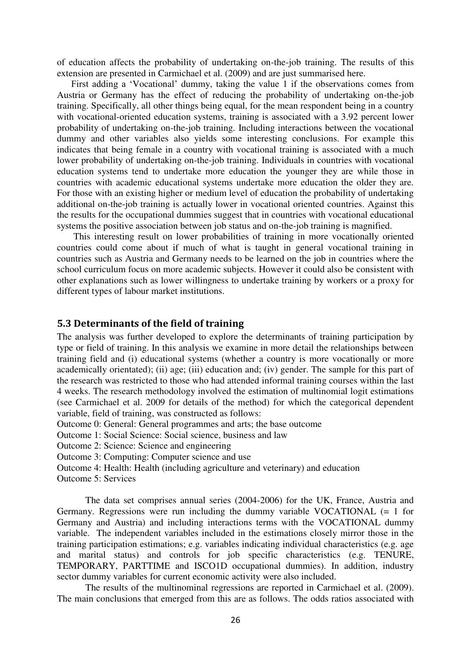of education affects the probability of undertaking on-the-job training. The results of this extension are presented in Carmichael et al. (2009) and are just summarised here.

First adding a 'Vocational' dummy, taking the value 1 if the observations comes from Austria or Germany has the effect of reducing the probability of undertaking on-the-job training. Specifically, all other things being equal, for the mean respondent being in a country with vocational-oriented education systems, training is associated with a 3.92 percent lower probability of undertaking on-the-job training. Including interactions between the vocational dummy and other variables also yields some interesting conclusions. For example this indicates that being female in a country with vocational training is associated with a much lower probability of undertaking on-the-job training. Individuals in countries with vocational education systems tend to undertake more education the younger they are while those in countries with academic educational systems undertake more education the older they are. For those with an existing higher or medium level of education the probability of undertaking additional on-the-job training is actually lower in vocational oriented countries. Against this the results for the occupational dummies suggest that in countries with vocational educational systems the positive association between job status and on-the-job training is magnified.

 This interesting result on lower probabilities of training in more vocationally oriented countries could come about if much of what is taught in general vocational training in countries such as Austria and Germany needs to be learned on the job in countries where the school curriculum focus on more academic subjects. However it could also be consistent with other explanations such as lower willingness to undertake training by workers or a proxy for different types of labour market institutions.

#### **5.3 Determinants of the field of training**

The analysis was further developed to explore the determinants of training participation by type or field of training. In this analysis we examine in more detail the relationships between training field and (i) educational systems (whether a country is more vocationally or more academically orientated); (ii) age; (iii) education and; (iv) gender. The sample for this part of the research was restricted to those who had attended informal training courses within the last 4 weeks. The research methodology involved the estimation of multinomial logit estimations (see Carmichael et al. 2009 for details of the method) for which the categorical dependent variable, field of training, was constructed as follows:

Outcome 0: General: General programmes and arts; the base outcome

Outcome 1: Social Science: Social science, business and law

Outcome 2: Science: Science and engineering

Outcome 3: Computing: Computer science and use

Outcome 4: Health: Health (including agriculture and veterinary) and education

Outcome 5: Services

The data set comprises annual series (2004-2006) for the UK, France, Austria and Germany. Regressions were run including the dummy variable VOCATIONAL (= 1 for Germany and Austria) and including interactions terms with the VOCATIONAL dummy variable. The independent variables included in the estimations closely mirror those in the training participation estimations; e.g. variables indicating individual characteristics (e.g. age and marital status) and controls for job specific characteristics (e.g. TENURE, TEMPORARY, PARTTIME and ISCO1D occupational dummies). In addition, industry sector dummy variables for current economic activity were also included.

The results of the multinominal regressions are reported in Carmichael et al. (2009). The main conclusions that emerged from this are as follows. The odds ratios associated with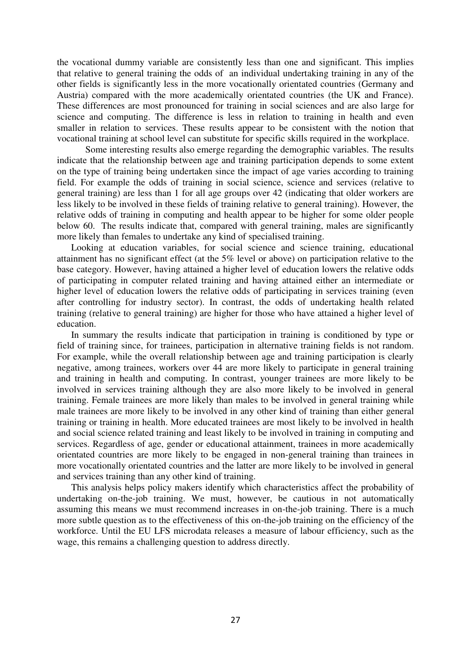the vocational dummy variable are consistently less than one and significant. This implies that relative to general training the odds of an individual undertaking training in any of the other fields is significantly less in the more vocationally orientated countries (Germany and Austria) compared with the more academically orientated countries (the UK and France). These differences are most pronounced for training in social sciences and are also large for science and computing. The difference is less in relation to training in health and even smaller in relation to services. These results appear to be consistent with the notion that vocational training at school level can substitute for specific skills required in the workplace.

Some interesting results also emerge regarding the demographic variables. The results indicate that the relationship between age and training participation depends to some extent on the type of training being undertaken since the impact of age varies according to training field. For example the odds of training in social science, science and services (relative to general training) are less than 1 for all age groups over 42 (indicating that older workers are less likely to be involved in these fields of training relative to general training). However, the relative odds of training in computing and health appear to be higher for some older people below 60. The results indicate that, compared with general training, males are significantly more likely than females to undertake any kind of specialised training.

Looking at education variables, for social science and science training, educational attainment has no significant effect (at the 5% level or above) on participation relative to the base category. However, having attained a higher level of education lowers the relative odds of participating in computer related training and having attained either an intermediate or higher level of education lowers the relative odds of participating in services training (even after controlling for industry sector). In contrast, the odds of undertaking health related training (relative to general training) are higher for those who have attained a higher level of education.

In summary the results indicate that participation in training is conditioned by type or field of training since, for trainees, participation in alternative training fields is not random. For example, while the overall relationship between age and training participation is clearly negative, among trainees, workers over 44 are more likely to participate in general training and training in health and computing. In contrast, younger trainees are more likely to be involved in services training although they are also more likely to be involved in general training. Female trainees are more likely than males to be involved in general training while male trainees are more likely to be involved in any other kind of training than either general training or training in health. More educated trainees are most likely to be involved in health and social science related training and least likely to be involved in training in computing and services. Regardless of age, gender or educational attainment, trainees in more academically orientated countries are more likely to be engaged in non-general training than trainees in more vocationally orientated countries and the latter are more likely to be involved in general and services training than any other kind of training.

This analysis helps policy makers identify which characteristics affect the probability of undertaking on-the-job training. We must, however, be cautious in not automatically assuming this means we must recommend increases in on-the-job training. There is a much more subtle question as to the effectiveness of this on-the-job training on the efficiency of the workforce. Until the EU LFS microdata releases a measure of labour efficiency, such as the wage, this remains a challenging question to address directly.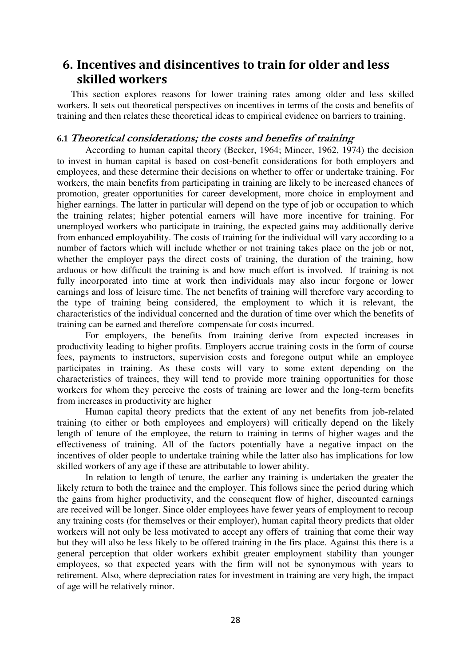## **6. Incentives and disincentives to train for older and less skilled workers**

This section explores reasons for lower training rates among older and less skilled workers. It sets out theoretical perspectives on incentives in terms of the costs and benefits of training and then relates these theoretical ideas to empirical evidence on barriers to training.

#### **6.1 Theoretical considerations; the costs and benefits of training**

According to human capital theory (Becker, 1964; Mincer, 1962, 1974) the decision to invest in human capital is based on cost-benefit considerations for both employers and employees, and these determine their decisions on whether to offer or undertake training. For workers, the main benefits from participating in training are likely to be increased chances of promotion, greater opportunities for career development, more choice in employment and higher earnings. The latter in particular will depend on the type of job or occupation to which the training relates; higher potential earners will have more incentive for training. For unemployed workers who participate in training, the expected gains may additionally derive from enhanced employability. The costs of training for the individual will vary according to a number of factors which will include whether or not training takes place on the job or not, whether the employer pays the direct costs of training, the duration of the training, how arduous or how difficult the training is and how much effort is involved. If training is not fully incorporated into time at work then individuals may also incur forgone or lower earnings and loss of leisure time. The net benefits of training will therefore vary according to the type of training being considered, the employment to which it is relevant, the characteristics of the individual concerned and the duration of time over which the benefits of training can be earned and therefore compensate for costs incurred.

For employers, the benefits from training derive from expected increases in productivity leading to higher profits. Employers accrue training costs in the form of course fees, payments to instructors, supervision costs and foregone output while an employee participates in training. As these costs will vary to some extent depending on the characteristics of trainees, they will tend to provide more training opportunities for those workers for whom they perceive the costs of training are lower and the long-term benefits from increases in productivity are higher

Human capital theory predicts that the extent of any net benefits from job-related training (to either or both employees and employers) will critically depend on the likely length of tenure of the employee, the return to training in terms of higher wages and the effectiveness of training. All of the factors potentially have a negative impact on the incentives of older people to undertake training while the latter also has implications for low skilled workers of any age if these are attributable to lower ability.

In relation to length of tenure, the earlier any training is undertaken the greater the likely return to both the trainee and the employer. This follows since the period during which the gains from higher productivity, and the consequent flow of higher, discounted earnings are received will be longer. Since older employees have fewer years of employment to recoup any training costs (for themselves or their employer), human capital theory predicts that older workers will not only be less motivated to accept any offers of training that come their way but they will also be less likely to be offered training in the firs place. Against this there is a general perception that older workers exhibit greater employment stability than younger employees, so that expected years with the firm will not be synonymous with years to retirement. Also, where depreciation rates for investment in training are very high, the impact of age will be relatively minor.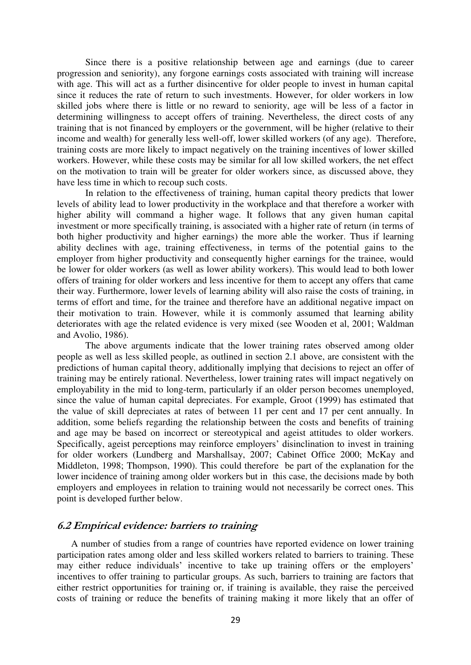Since there is a positive relationship between age and earnings (due to career progression and seniority), any forgone earnings costs associated with training will increase with age. This will act as a further disincentive for older people to invest in human capital since it reduces the rate of return to such investments. However, for older workers in low skilled jobs where there is little or no reward to seniority, age will be less of a factor in determining willingness to accept offers of training. Nevertheless, the direct costs of any training that is not financed by employers or the government, will be higher (relative to their income and wealth) for generally less well-off, lower skilled workers (of any age). Therefore, training costs are more likely to impact negatively on the training incentives of lower skilled workers. However, while these costs may be similar for all low skilled workers, the net effect on the motivation to train will be greater for older workers since, as discussed above, they have less time in which to recoup such costs.

In relation to the effectiveness of training, human capital theory predicts that lower levels of ability lead to lower productivity in the workplace and that therefore a worker with higher ability will command a higher wage. It follows that any given human capital investment or more specifically training, is associated with a higher rate of return (in terms of both higher productivity and higher earnings) the more able the worker. Thus if learning ability declines with age, training effectiveness, in terms of the potential gains to the employer from higher productivity and consequently higher earnings for the trainee, would be lower for older workers (as well as lower ability workers). This would lead to both lower offers of training for older workers and less incentive for them to accept any offers that came their way. Furthermore, lower levels of learning ability will also raise the costs of training, in terms of effort and time, for the trainee and therefore have an additional negative impact on their motivation to train. However, while it is commonly assumed that learning ability deteriorates with age the related evidence is very mixed (see Wooden et al, 2001; Waldman and Avolio, 1986).

The above arguments indicate that the lower training rates observed among older people as well as less skilled people, as outlined in section 2.1 above, are consistent with the predictions of human capital theory, additionally implying that decisions to reject an offer of training may be entirely rational. Nevertheless, lower training rates will impact negatively on employability in the mid to long-term, particularly if an older person becomes unemployed, since the value of human capital depreciates. For example, Groot (1999) has estimated that the value of skill depreciates at rates of between 11 per cent and 17 per cent annually. In addition, some beliefs regarding the relationship between the costs and benefits of training and age may be based on incorrect or stereotypical and ageist attitudes to older workers. Specifically, ageist perceptions may reinforce employers' disinclination to invest in training for older workers (Lundberg and Marshallsay, 2007; Cabinet Office 2000; McKay and Middleton, 1998; Thompson, 1990). This could therefore be part of the explanation for the lower incidence of training among older workers but in this case, the decisions made by both employers and employees in relation to training would not necessarily be correct ones. This point is developed further below.

#### **6.2 Empirical evidence: barriers to training**

A number of studies from a range of countries have reported evidence on lower training participation rates among older and less skilled workers related to barriers to training. These may either reduce individuals' incentive to take up training offers or the employers' incentives to offer training to particular groups. As such, barriers to training are factors that either restrict opportunities for training or, if training is available, they raise the perceived costs of training or reduce the benefits of training making it more likely that an offer of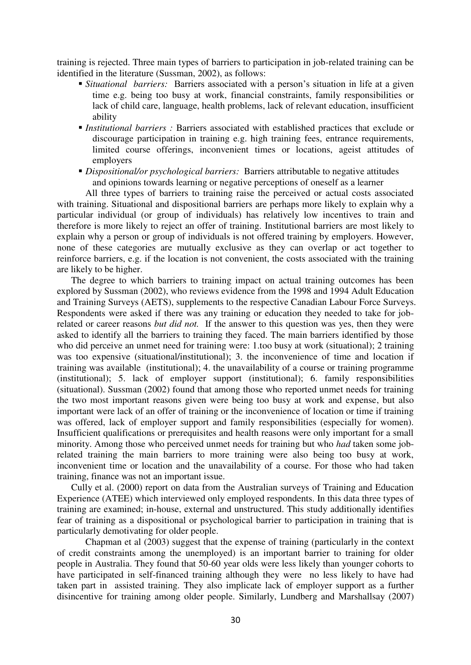training is rejected. Three main types of barriers to participation in job-related training can be identified in the literature (Sussman, 2002), as follows:

- *Situational barriers:* Barriers associated with a person's situation in life at a given time e.g. being too busy at work, financial constraints, family responsibilities or lack of child care, language, health problems, lack of relevant education, insufficient ability
- *Institutional barriers :* Barriers associated with established practices that exclude or discourage participation in training e.g. high training fees, entrance requirements, limited course offerings, inconvenient times or locations, ageist attitudes of employers
- *Dispositional/or psychological barriers:* Barriers attributable to negative attitudes and opinions towards learning or negative perceptions of oneself as a learner

All three types of barriers to training raise the perceived or actual costs associated with training. Situational and dispositional barriers are perhaps more likely to explain why a particular individual (or group of individuals) has relatively low incentives to train and therefore is more likely to reject an offer of training. Institutional barriers are most likely to explain why a person or group of individuals is not offered training by employers. However, none of these categories are mutually exclusive as they can overlap or act together to reinforce barriers, e.g. if the location is not convenient, the costs associated with the training are likely to be higher.

The degree to which barriers to training impact on actual training outcomes has been explored by Sussman (2002), who reviews evidence from the 1998 and 1994 Adult Education and Training Surveys (AETS), supplements to the respective Canadian Labour Force Surveys. Respondents were asked if there was any training or education they needed to take for jobrelated or career reasons *but did not*. If the answer to this question was yes, then they were asked to identify all the barriers to training they faced. The main barriers identified by those who did perceive an unmet need for training were: 1.too busy at work (situational); 2 training was too expensive (situational/institutional); 3. the inconvenience of time and location if training was available (institutional); 4. the unavailability of a course or training programme (institutional); 5. lack of employer support (institutional); 6. family responsibilities (situational). Sussman (2002) found that among those who reported unmet needs for training the two most important reasons given were being too busy at work and expense, but also important were lack of an offer of training or the inconvenience of location or time if training was offered, lack of employer support and family responsibilities (especially for women). Insufficient qualifications or prerequisites and health reasons were only important for a small minority. Among those who perceived unmet needs for training but who *had* taken some jobrelated training the main barriers to more training were also being too busy at work, inconvenient time or location and the unavailability of a course. For those who had taken training, finance was not an important issue.

Cully et al. (2000) report on data from the Australian surveys of Training and Education Experience (ATEE) which interviewed only employed respondents. In this data three types of training are examined; in-house, external and unstructured. This study additionally identifies fear of training as a dispositional or psychological barrier to participation in training that is particularly demotivating for older people.

Chapman et al (2003) suggest that the expense of training (particularly in the context of credit constraints among the unemployed) is an important barrier to training for older people in Australia. They found that 50-60 year olds were less likely than younger cohorts to have participated in self-financed training although they were no less likely to have had taken part in assisted training. They also implicate lack of employer support as a further disincentive for training among older people. Similarly, Lundberg and Marshallsay (2007)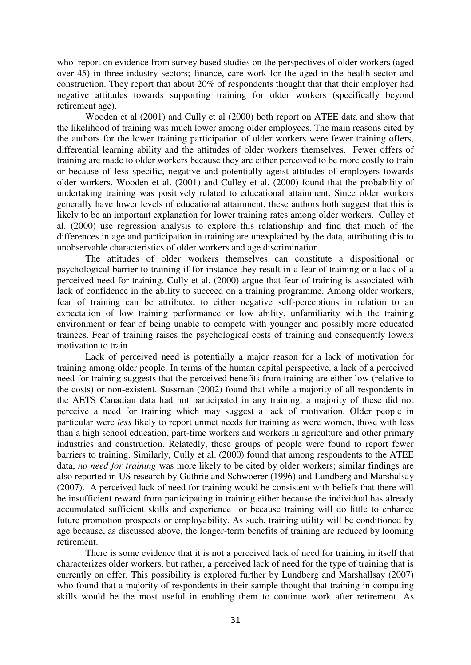who report on evidence from survey based studies on the perspectives of older workers (aged over 45) in three industry sectors; finance, care work for the aged in the health sector and construction. They report that about 20% of respondents thought that that their employer had negative attitudes towards supporting training for older workers (specifically beyond retirement age).

Wooden et al (2001) and Cully et al (2000) both report on ATEE data and show that the likelihood of training was much lower among older employees. The main reasons cited by the authors for the lower training participation of older workers were fewer training offers, differential learning ability and the attitudes of older workers themselves. Fewer offers of training are made to older workers because they are either perceived to be more costly to train or because of less specific, negative and potentially ageist attitudes of employers towards older workers. Wooden et al. (2001) and Culley et al. (2000) found that the probability of undertaking training was positively related to educational attainment. Since older workers generally have lower levels of educational attainment, these authors both suggest that this is likely to be an important explanation for lower training rates among older workers. Culley et al. (2000) use regression analysis to explore this relationship and find that much of the differences in age and participation in training are unexplained by the data, attributing this to unobservable characteristics of older workers and age discrimination.

The attitudes of older workers themselves can constitute a dispositional or psychological barrier to training if for instance they result in a fear of training or a lack of a perceived need for training. Cully et al. (2000) argue that fear of training is associated with lack of confidence in the ability to succeed on a training programme. Among older workers, fear of training can be attributed to either negative self-perceptions in relation to an expectation of low training performance or low ability, unfamiliarity with the training environment or fear of being unable to compete with younger and possibly more educated trainees. Fear of training raises the psychological costs of training and consequently lowers motivation to train.

Lack of perceived need is potentially a major reason for a lack of motivation for training among older people. In terms of the human capital perspective, a lack of a perceived need for training suggests that the perceived benefits from training are either low (relative to the costs) or non-existent. Sussman (2002) found that while a majority of all respondents in the AETS Canadian data had not participated in any training, a majority of these did not perceive a need for training which may suggest a lack of motivation. Older people in particular were *less* likely to report unmet needs for training as were women, those with less than a high school education, part-time workers and workers in agriculture and other primary industries and construction. Relatedly, these groups of people were found to report fewer barriers to training. Similarly, Cully et al. (2000) found that among respondents to the ATEE data, *no need for training* was more likely to be cited by older workers; similar findings are also reported in US research by Guthrie and Schwoerer (1996) and Lundberg and Marshalsay (2007). A perceived lack of need for training would be consistent with beliefs that there will be insufficient reward from participating in training either because the individual has already accumulated sufficient skills and experience or because training will do little to enhance future promotion prospects or employability. As such, training utility will be conditioned by age because, as discussed above, the longer-term benefits of training are reduced by looming retirement.

There is some evidence that it is not a perceived lack of need for training in itself that characterizes older workers, but rather, a perceived lack of need for the type of training that is currently on offer. This possibility is explored further by Lundberg and Marshallsay (2007) who found that a majority of respondents in their sample thought that training in computing skills would be the most useful in enabling them to continue work after retirement. As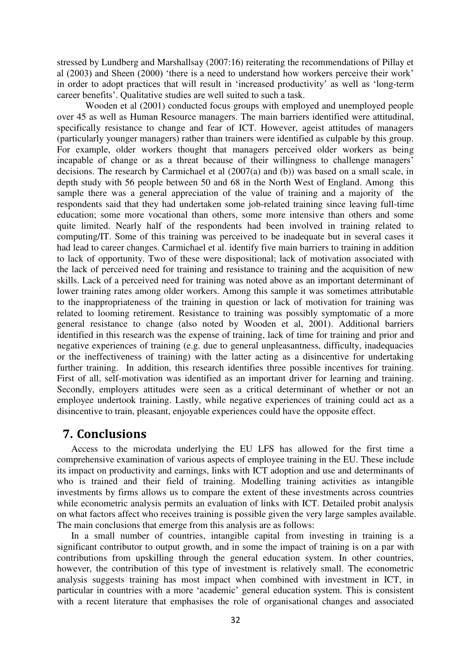stressed by Lundberg and Marshallsay (2007:16) reiterating the recommendations of Pillay et al (2003) and Sheen (2000) 'there is a need to understand how workers perceive their work' in order to adopt practices that will result in 'increased productivity' as well as 'long-term career benefits'. Qualitative studies are well suited to such a task.

Wooden et al (2001) conducted focus groups with employed and unemployed people over 45 as well as Human Resource managers. The main barriers identified were attitudinal, specifically resistance to change and fear of ICT. However, ageist attitudes of managers (particularly younger managers) rather than trainers were identified as culpable by this group. For example, older workers thought that managers perceived older workers as being incapable of change or as a threat because of their willingness to challenge managers' decisions. The research by Carmichael et al (2007(a) and (b)) was based on a small scale, in depth study with 56 people between 50 and 68 in the North West of England. Among this sample there was a general appreciation of the value of training and a majority of the respondents said that they had undertaken some job-related training since leaving full-time education; some more vocational than others, some more intensive than others and some quite limited. Nearly half of the respondents had been involved in training related to computing/IT. Some of this training was perceived to be inadequate but in several cases it had lead to career changes. Carmichael et al. identify five main barriers to training in addition to lack of opportunity. Two of these were dispositional; lack of motivation associated with the lack of perceived need for training and resistance to training and the acquisition of new skills. Lack of a perceived need for training was noted above as an important determinant of lower training rates among older workers. Among this sample it was sometimes attributable to the inappropriateness of the training in question or lack of motivation for training was related to looming retirement. Resistance to training was possibly symptomatic of a more general resistance to change (also noted by Wooden et al, 2001). Additional barriers identified in this research was the expense of training, lack of time for training and prior and negative experiences of training (e.g. due to general unpleasantness, difficulty, inadequacies or the ineffectiveness of training) with the latter acting as a disincentive for undertaking further training. In addition, this research identifies three possible incentives for training. First of all, self-motivation was identified as an important driver for learning and training. Secondly, employers attitudes were seen as a critical determinant of whether or not an employee undertook training. Lastly, while negative experiences of training could act as a disincentive to train, pleasant, enjoyable experiences could have the opposite effect.

## **7. Conclusions**

Access to the microdata underlying the EU LFS has allowed for the first time a comprehensive examination of various aspects of employee training in the EU. These include its impact on productivity and earnings, links with ICT adoption and use and determinants of who is trained and their field of training. Modelling training activities as intangible investments by firms allows us to compare the extent of these investments across countries while econometric analysis permits an evaluation of links with ICT. Detailed probit analysis on what factors affect who receives training is possible given the very large samples available. The main conclusions that emerge from this analysis are as follows:

In a small number of countries, intangible capital from investing in training is a significant contributor to output growth, and in some the impact of training is on a par with contributions from upskilling through the general education system. In other countries, however, the contribution of this type of investment is relatively small. The econometric analysis suggests training has most impact when combined with investment in ICT, in particular in countries with a more 'academic' general education system. This is consistent with a recent literature that emphasises the role of organisational changes and associated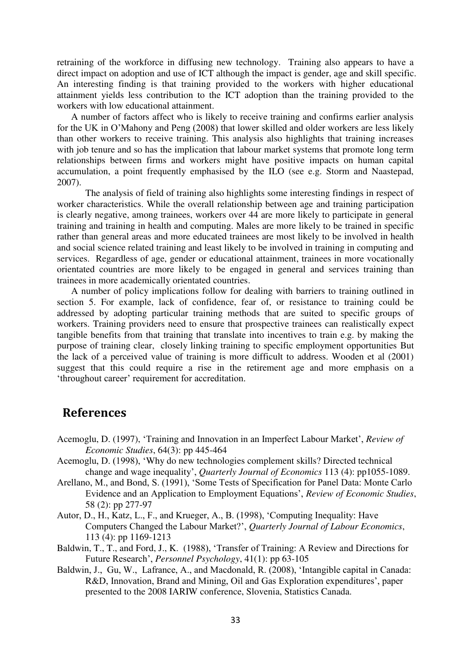retraining of the workforce in diffusing new technology. Training also appears to have a direct impact on adoption and use of ICT although the impact is gender, age and skill specific. An interesting finding is that training provided to the workers with higher educational attainment yields less contribution to the ICT adoption than the training provided to the workers with low educational attainment.

A number of factors affect who is likely to receive training and confirms earlier analysis for the UK in O'Mahony and Peng (2008) that lower skilled and older workers are less likely than other workers to receive training. This analysis also highlights that training increases with job tenure and so has the implication that labour market systems that promote long term relationships between firms and workers might have positive impacts on human capital accumulation, a point frequently emphasised by the ILO (see e.g. Storm and Naastepad, 2007).

The analysis of field of training also highlights some interesting findings in respect of worker characteristics. While the overall relationship between age and training participation is clearly negative, among trainees, workers over 44 are more likely to participate in general training and training in health and computing. Males are more likely to be trained in specific rather than general areas and more educated trainees are most likely to be involved in health and social science related training and least likely to be involved in training in computing and services. Regardless of age, gender or educational attainment, trainees in more vocationally orientated countries are more likely to be engaged in general and services training than trainees in more academically orientated countries.

A number of policy implications follow for dealing with barriers to training outlined in section 5. For example, lack of confidence, fear of, or resistance to training could be addressed by adopting particular training methods that are suited to specific groups of workers. Training providers need to ensure that prospective trainees can realistically expect tangible benefits from that training that translate into incentives to train e.g. by making the purpose of training clear, closely linking training to specific employment opportunities But the lack of a perceived value of training is more difficult to address. Wooden et al (2001) suggest that this could require a rise in the retirement age and more emphasis on a 'throughout career' requirement for accreditation.

## **References**

- Acemoglu, D. (1997), 'Training and Innovation in an Imperfect Labour Market', *Review of Economic Studies*, 64(3): pp 445-464
- Acemoglu, D. (1998), '[Why do new technologies complement skills? Directed technical](http://econ-www.mit.edu/faculty/download_pdf.php?id=618)  [change and wage inequality](http://econ-www.mit.edu/faculty/download_pdf.php?id=618)', *Quarterly Journal of Economics* 113 (4): pp1055-1089.
- Arellano, M., and Bond, S. (1991), 'Some Tests of Specification for Panel Data: Monte Carlo Evidence and an Application to Employment Equations', *Review of Economic Studies*, 58 (2): pp 277-97
- Autor, D., H., Katz, L., F., and Krueger, A., B. (1998), 'Computing Inequality: Have Computers Changed the Labour Market?', *Quarterly Journal of Labour Economics*, 113 (4): pp 1169-1213
- Baldwin, T., T., and Ford, J., K. (1988), 'Transfer of Training: A Review and Directions for Future Research', *Personnel Psychology*, 41(1): pp 63-105
- Baldwin, J., Gu, W., Lafrance, A., and Macdonald, R. (2008), 'Intangible capital in Canada: R&D, Innovation, Brand and Mining, Oil and Gas Exploration expenditures', paper presented to the 2008 IARIW conference, Slovenia, Statistics Canada.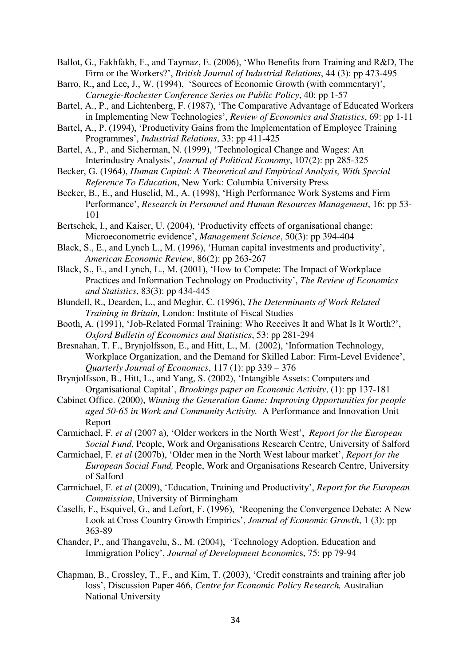Ballot, G., Fakhfakh, F., and Taymaz, E. (2006), 'Who Benefits from Training and R&D, The Firm or the Workers?', *British Journal of Industrial Relations*, 44 (3): pp 473-495

- Barro, R., and Lee, J., W. (1994), 'Sources of Economic Growth (with commentary)', *Carnegie-Rochester Conference Series on Public Policy*, 40: pp 1-57
- Bartel, A., P., and Lichtenberg, F. (1987), 'The Comparative Advantage of Educated Workers in Implementing New Technologies', *Review of Economics and Statistics*, 69: pp 1-11
- Bartel, A., P. (1994), 'Productivity Gains from the Implementation of Employee Training Programmes', *Industrial Relations*, 33: pp 411-425
- Bartel, A., P., and Sicherman, N. (1999), 'Technological Change and Wages: An Interindustry Analysis', *Journal of Political Economy*, 107(2): pp 285-325
- Becker, G. (1964), *Human Capital*: *A Theoretical and Empirical Analysis, With Special Reference To Education*, New York: Columbia University Press
- Becker, B., E., and Huselid, M., A. (1998), 'High Performance Work Systems and Firm Performance', *Research in Personnel and Human Resources Management*, 16: pp 53- 101
- Bertschek, I., and Kaiser, U. (2004), 'Productivity effects of organisational change: Microeconometric evidence', *Management Science*, 50(3): pp 394-404
- Black, S., E., and Lynch L., M. (1996), 'Human capital investments and productivity', *American Economic Review*, 86(2): pp 263-267
- Black, S., E., and Lynch, L., M. (2001), 'How to Compete: The Impact of Workplace Practices and Information Technology on Productivity', *The Review of Economics and Statistics*, 83(3): pp 434-445
- Blundell, R., Dearden, L., and Meghir, C. (1996), *The Determinants of Work Related Training in Britain,* London: Institute of Fiscal Studies
- Booth, A. (1991), 'Job-Related Formal Training: Who Receives It and What Is It Worth?', *Oxford Bulletin of Economics and Statistics*, 53: pp 281-294
- Bresnahan, T. F., Brynjolfsson, E., and Hitt, L., M. (2002), 'Information Technology, Workplace Organization, and the Demand for Skilled Labor: Firm-Level Evidence', *Quarterly Journal of Economics*, 117 (1): pp 339 – 376
- Brynjolfsson, B., Hitt, L., and Yang, S. (2002), 'Intangible Assets: Computers and Organisational Capital', *Brookings paper on Economic Activity*, (1): pp 137-181
- Cabinet Office. (2000), *Winning the Generation Game: Improving Opportunities for people aged 50-65 in Work and Community Activity.* A Performance and Innovation Unit Report
- Carmichael, F. *et al* (2007 a), 'Older workers in the North West', *Report for the European Social Fund,* People, Work and Organisations Research Centre, University of Salford
- Carmichael, F. *et al* (2007b), 'Older men in the North West labour market', *Report for the European Social Fund,* People, Work and Organisations Research Centre, University of Salford
- Carmichael, F. *et al* (2009), 'Education, Training and Productivity', *Report for the European Commission*, University of Birmingham
- Caselli, F., Esquivel, G., and Lefort, F. (1996), 'Reopening the Convergence Debate: A New Look at Cross Country Growth Empirics', *Journal of Economic Growth*, 1 (3): pp 363-89
- Chander, P., and Thangavelu, S., M. (2004), 'Technology Adoption, Education and Immigration Policy', *Journal of Development Economic*s, 75: pp 79-94
- Chapman, B., Crossley, T., F., and Kim, T. (2003), 'Credit constraints and training after job loss', Discussion Paper 466, *Centre for Economic Policy Research,* Australian National University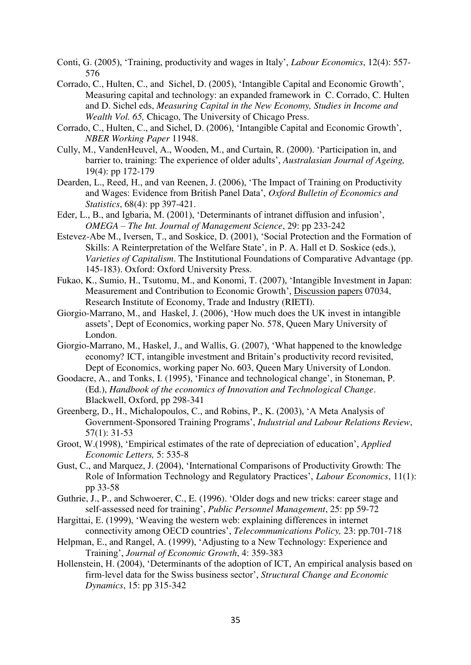- Conti, G. (2005), 'Training, productivity and wages in Italy', *Labour Economics*, 12(4): 557- 576
- Corrado, C., Hulten, C., and Sichel, D. (2005), 'Intangible Capital and Economic Growth', Measuring capital and technology: an expanded framework in C. Corrado, C. Hulten and D. Sichel eds, *Measuring Capital in the New Economy, Studies in Income and Wealth Vol. 65,* Chicago, The University of Chicago Press.
- Corrado, C., Hulten, C., and Sichel, D. (2006), 'Intangible Capital and Economic Growth', *NBER Working Paper* 11948.
- Cully, M., VandenHeuvel, A., Wooden, M., and Curtain, R. (2000). 'Participation in, and barrier to, training: The experience of older adults', *Australasian Journal of Ageing,*  19(4): pp 172-179
- Dearden, L., Reed, H., and van Reenen, J. (2006), 'The Impact of Training on Productivity and Wages: Evidence from British Panel Data', *Oxford Bulletin of Economics and Statistics*, 68(4): pp 397-421.
- Eder, L., B., and Igbaria, M. (2001), 'Determinants of intranet diffusion and infusion', *OMEGA – The Int. Journal of Management Science*, 29: pp 233-242
- Estevez-Abe M., Iversen, T., and Soskice, D. (2001), 'Social Protection and the Formation of Skills: A Reinterpretation of the Welfare State', in P. A. Hall et D. Soskice (eds.), *Varieties of Capitalism*. The Institutional Foundations of Comparative Advantage (pp. 145-183). Oxford: Oxford University Press.
- Fukao, K., Sumio, H., Tsutomu, M., and Konomi, T. (2007), '[Intangible Investment in Japan:](http://ideas.repec.org/p/eti/dpaper/07034.html)  [Measurement and Contribution to Economic Growth](http://ideas.repec.org/p/eti/dpaper/07034.html)', [Discussion papers](http://ideas.repec.org/s/eti/dpaper.html) 07034, Research Institute of Economy, Trade and Industry (RIETI).
- Giorgio-Marrano, M., and Haskel, J. (2006), 'How much does the UK invest in intangible assets', Dept of Economics, working paper No. 578, Queen Mary University of London.
- Giorgio-Marrano, M., Haskel, J., and Wallis, G. (2007), 'What happened to the knowledge economy? ICT, intangible investment and Britain's productivity record revisited, Dept of Economics, working paper No. 603, Queen Mary University of London.
- Goodacre, A., and Tonks, I. (1995), 'Finance and technological change', in Stoneman, P. (Ed.), *Handbook of the economics of Innovation and Technological Change*. Blackwell, Oxford, pp 298-341
- Greenberg, D., H., Michalopoulos, C., and Robins, P., K. (2003), 'A Meta Analysis of Government-Sponsored Training Programs', *Industrial and Labour Relations Review*, 57(1): 31-53
- Groot, W.(1998), 'Empirical estimates of the rate of depreciation of education', *Applied Economic Letters,* 5: 535-8
- Gust, C., and Marquez, J. (2004), 'International Comparisons of Productivity Growth: The Role of Information Technology and Regulatory Practices', *Labour Economics*, 11(1): pp 33-58
- Guthrie, J., P., and Schwoerer, C., E. (1996). 'Older dogs and new tricks: career stage and self-assessed need for training', *Public Personnel Management*, 25: pp 59-72
- Hargittai, E. (1999), 'Weaving the western web: explaining differences in internet connectivity among OECD countries', *Telecommunications Policy,* 23: pp.701-718
- Helpman, E., and Rangel, A. (1999), 'Adjusting to a New Technology: Experience and Training', *Journal of Economic Growth*, 4: 359-383
- Hollenstein, H. (2004), 'Determinants of the adoption of ICT, An empirical analysis based on firm-level data for the Swiss business sector', *Structural Change and Economic Dynamics*, 15: pp 315-342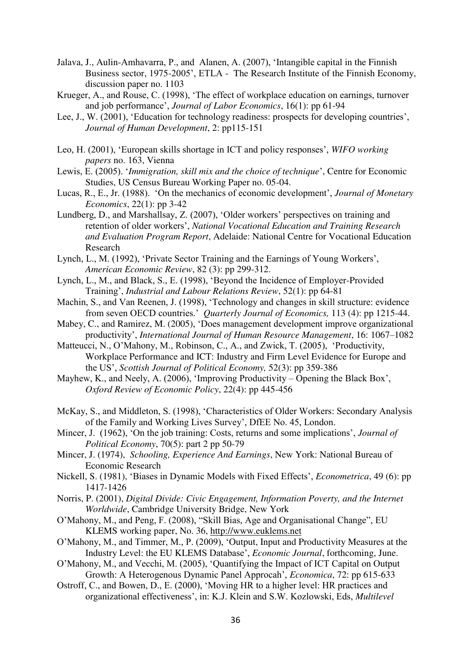- Jalava, J., Aulin-Amhavarra, P., and Alanen, A. (2007), 'Intangible capital in the Finnish Business sector, 1975-2005', ETLA - The Research Institute of the Finnish Economy, discussion paper no. 1103
- Krueger, A., and Rouse, C. (1998), 'The effect of workplace education on earnings, turnover and job performance', *Journal of Labor Economics*, 16(1): pp 61-94
- Lee, J., W. (2001), 'Education for technology readiness: prospects for developing countries', *Journal of Human Development*, 2: pp115-151
- Leo, H. (2001), 'European skills shortage in ICT and policy responses', *WIFO working papers* no. 163, Vienna
- Lewis, E. (2005). '*Immigration, skill mix and the choice of technique*', Centre for Economic Studies, US Census Bureau Working Paper no. 05-04.
- Lucas, R., E., Jr. (1988). 'On the mechanics of economic development', *Journal of Monetary Economics*, 22(1): pp 3-42
- Lundberg, D., and Marshallsay, Z. (2007), 'Older workers' perspectives on training and retention of older workers', *National Vocational Education and Training Research and Evaluation Program Report*, Adelaide: National Centre for Vocational Education Research
- Lynch, L., M. (1992), 'Private Sector Training and the Earnings of Young Workers', *American Economic Review*, 82 (3): pp 299-312.
- Lynch, L., M., and Black, S., E. (1998), 'Beyond the Incidence of Employer-Provided Training', *Industrial and Labour Relations Review*, 52(1): pp 64-81
- Machin, S., and Van Reenen, J. (1998), 'Technology and changes in skill structure: evidence from seven OECD countries.' *Quarterly Journal of Economics,* 113 (4): pp 1215-44.
- [Mabey, C., and Ramirez, M. \(2005\)](http://www.sciencedirect.com/science?_ob=ArticleURL&_udi=B6W4J-4PJ6BNK-2&_user=7209522&_coverDate=09%2F30%2F2007&_rdoc=1&_fmt=full&_orig=search&_cdi=6544&_sort=d&_docanchor=&view=c&_acct=C000010083&_version=1&_urlVersion=0&_userid=7209522&md5=adcaa7dce87e37c5266a105153a9d5b8#bib73), 'Does management development improve organizational productivity', *International Journal of Human Resource Management*, 16: 1067–1082
- Matteucci, N., O'Mahony, M., Robinson, C., A., and Zwick, T. (2005), 'Productivity, Workplace Performance and ICT: Industry and Firm Level Evidence for Europe and the US', *Scottish Journal of Political Economy,* 52(3): pp 359-386
- Mayhew, K., and Neely, A. (2006), 'Improving Productivity Opening the Black Box', *Oxford Review of Economic Policy*, 22(4): pp 445-456
- McKay, S., and Middleton, S. (1998), 'Characteristics of Older Workers: Secondary Analysis of the Family and Working Lives Survey', DfEE No. 45, London.
- Mincer, J. (1962), 'On the job training: Costs, returns and some implications', *Journal of Political Economy*, 70(5): part 2 pp 50-79
- Mincer, J. (1974), *Schooling, Experience And Earnings*, New York: National Bureau of Economic Research
- Nickell, S. (1981), 'Biases in Dynamic Models with Fixed Effects', *Econometrica*, 49 (6): pp 1417-1426
- Norris, P. (2001), *Digital Divide: Civic Engagement, Information Poverty, and the Internet Worldwide*, Cambridge University Bridge, New York
- O'Mahony, M., and Peng, F. (2008), "Skill Bias, Age and Organisational Change", EU KLEMS working paper, No. 36, [http://www.euklems.net](http://www.euklems.net/)
- O'Mahony, M., and Timmer, M., P. (2009), 'Output, Input and Productivity Measures at the Industry Level: the EU KLEMS Database', *Economic Journal*, forthcoming, June.
- O'Mahony, M., and Vecchi, M. (2005), 'Quantifying the Impact of ICT Capital on Output Growth: A Heterogenous Dynamic Panel Approcah', *Economica*, 72: pp 615-633
- Ostroff, C., and Bowen, D., E. (2000), 'Moving HR to a higher level: HR practices and organizational effectiveness', in: K.J. Klein and S.W. Kozlowski, Eds, *Multilevel*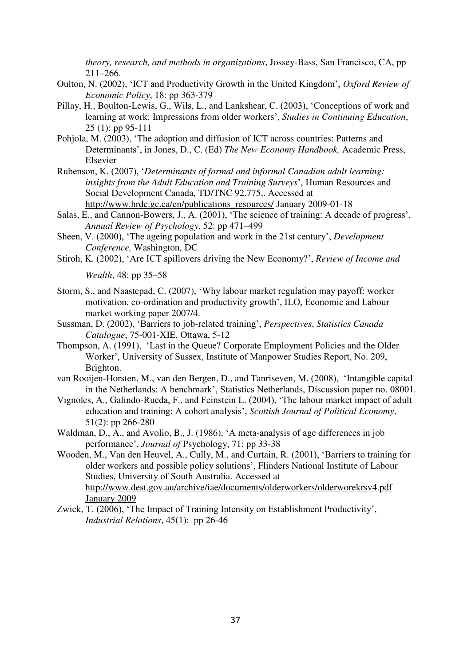*theory, research, and methods in organizations*, Jossey-Bass, San Francisco, CA, pp 211–266.

- Oulton, N. (2002), 'ICT and Productivity Growth in the United Kingdom', *Oxford Review of Economic Policy*, 18: pp 363-379
- Pillay, H., Boulton-Lewis, G., Wils, L., and Lankshear, C. (2003), 'Conceptions of work and learning at work: Impressions from older workers', *Studies in Continuing Education*, 25 (1): pp 95-111
- Pohjola, M. (2003), 'The adoption and diffusion of ICT across countries: Patterns and Determinants', in Jones, D., C. (Ed) *The New Economy Handbook,* Academic Press, Elsevier
- Rubenson, K. (2007), '*Determinants of formal and informal Canadian adult learning: insights from the Adult Education and Training Surveys*', Human Resources and Social Development Canada, TD/TNC 92.775,. Accessed at [http://www.hrdc.gc.ca/en/publications\\_resources/](http://www.hrdc.gc.ca/en/publications_resources/) January 2009-01-18
- Salas, E., and Cannon-Bowers, J., A. (2001), 'The science of training: A decade of progress', *Annual Review of Psychology*, 52: pp 471–499
- Sheen, V. (2000), 'The ageing population and work in the 21st century', *Development Conference,* Washington, DC
- Stiroh, K. (2002), 'Are ICT spillovers driving the New Economy?', *Review of Income and*

*Wealth*, 48: pp 35–58

- Storm, S., and Naastepad, C. (2007), 'Why labour market regulation may payoff: worker motivation, co-ordination and productivity growth', ILO, Economic and Labour market working paper 2007/4.
- Sussman, D. (2002), 'Barriers to job-related training', *Perspectives*, *Statistics Canada Catalogue*, 75-001-XIE, Ottawa, 5-12
- Thompson, A. (1991), 'Last in the Queue? Corporate Employment Policies and the Older Worker', University of Sussex, Institute of Manpower Studies Report, No. 209, Brighton.
- van Rooijen-Horsten, M., van den Bergen, D., and Tanriseven, M. (2008), 'Intangible capital in the Netherlands: A benchmark', Statistics Netherlands, Discussion paper no. 08001.
- Vignoles, A., Galindo-Rueda, F., and Feinstein L. (2004), 'The labour market impact of adult education and training: A cohort analysis', *Scottish Journal of Political Economy*, 51(2): pp 266-280
- Waldman, D., A., and Avolio, B., J. (1986), 'A meta-analysis of age differences in job performance', *Journal of* Psychology, 71: pp 33-38
- Wooden, M., Van den Heuvel, A., Cully, M., and Curtain, R. (2001), 'Barriers to training for older workers and possible policy solutions', Flinders National Institute of Labour Studies, University of South Australia. Accessed at [http://www.dest.gov.au/archive/iae/documents/olderworkers/olderworekrsv4.pdf](http://www.dest.gov.au/archive/iae/documents/olderworkers/olderworekrsv4.pdf%20%20January%202009)  [January 2009](http://www.dest.gov.au/archive/iae/documents/olderworkers/olderworekrsv4.pdf%20%20January%202009)
- Zwick, T. (2006), 'The Impact of Training Intensity on Establishment Productivity', *Industrial Relations*, 45(1): pp 26-46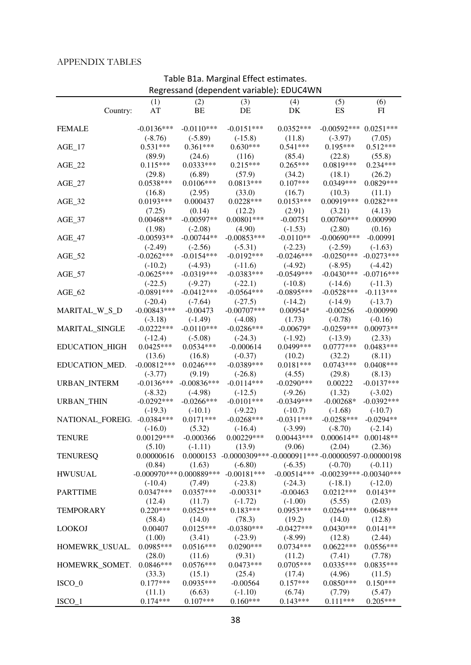### APPENDIX TABLES

| Regressand (dependent variable): EDUC4WN |               |               |                                         |                                                                     |                          |              |  |  |
|------------------------------------------|---------------|---------------|-----------------------------------------|---------------------------------------------------------------------|--------------------------|--------------|--|--|
|                                          | (1)           | (2)           | (3)                                     | (4)                                                                 | (5)                      | (6)          |  |  |
| Country:                                 | AT            | BE            | DE                                      | DK                                                                  | ES                       | FI           |  |  |
|                                          |               |               |                                         |                                                                     |                          |              |  |  |
| <b>FEMALE</b>                            | $-0.0136***$  | $-0.0110***$  | $-0.0151***$                            | $0.0352***$                                                         | $-0.00592***0.0251***$   |              |  |  |
|                                          | $(-8.76)$     | $(-5.89)$     | $(-15.8)$                               | (11.8)                                                              | $(-3.97)$                | (7.05)       |  |  |
| $AGE_17$                                 | $0.531***$    | $0.361***$    | $0.630***$                              | $0.541***$                                                          | $0.195***$               | $0.512***$   |  |  |
|                                          | (89.9)        | (24.6)        | (116)                                   | (85.4)                                                              | (22.8)                   | (55.8)       |  |  |
| $AGE_22$                                 | $0.115***$    | $0.0333***$   | $0.215***$                              | $0.265***$                                                          | 0.0819***                | $0.234***$   |  |  |
|                                          | (29.8)        | (6.89)        | (57.9)                                  | (34.2)                                                              | (18.1)                   | (26.2)       |  |  |
| $AGE_27$                                 | $0.0538***$   | $0.0106***$   | $0.0813***$                             | $0.107***$                                                          | $0.0349***$              | 0.0829***    |  |  |
|                                          | (16.8)        | (2.95)        | (33.0)                                  | (16.7)                                                              | (10.3)                   | (11.1)       |  |  |
| $AGE_32$                                 | $0.0193***$   | 0.000437      | $0.0228***$                             | $0.0153***$                                                         | $0.00919***$             | $0.0282***$  |  |  |
|                                          | (7.25)        | (0.14)        | (12.2)                                  | (2.91)                                                              | (3.21)                   | (4.13)       |  |  |
| $AGE_37$                                 | $0.00468**$   | $-0.00597**$  | $0.00801***$                            | $-0.00751$                                                          | $0.00760***$             | 0.000990     |  |  |
|                                          | (1.98)        | $(-2.08)$     | (4.90)                                  | $(-1.53)$                                                           | (2.80)                   | (0.16)       |  |  |
| $AGE_47$                                 | $-0.00593**$  | $-0.00744**$  | $-0.00853***$                           | $-0.0110**$                                                         | $-0.00690***$            | $-0.00991$   |  |  |
|                                          | $(-2.49)$     | $(-2.56)$     | $(-5.31)$                               | $(-2.23)$                                                           | $(-2.59)$                | $(-1.63)$    |  |  |
| $AGE_52$                                 | $-0.0262***$  | $-0.0154***$  | $-0.0192***$                            | $-0.0246***$                                                        | $-0.0250***$             | $-0.0273***$ |  |  |
|                                          | $(-10.2)$     | $(-4.93)$     | $(-11.6)$                               | $(-4.92)$                                                           | $(-8.95)$                | $(-4.42)$    |  |  |
| $AGE_57$                                 | $-0.0625***$  | $-0.0319***$  | $-0.0383***$                            | $-0.0549***$                                                        | $-0.0430***$             | $-0.0716***$ |  |  |
|                                          | $(-22.5)$     | $(-9.27)$     | $(-22.1)$                               | $(-10.8)$                                                           | $(-14.6)$                | $(-11.3)$    |  |  |
| $AGE_62$                                 | $-0.0891***$  | $-0.0412***$  | $-0.0564***$                            | $-0.0895***$                                                        | $-0.0528***$             | $-0.113***$  |  |  |
|                                          | $(-20.4)$     | $(-7.64)$     | $(-27.5)$                               | $(-14.2)$                                                           | $(-14.9)$                | $(-13.7)$    |  |  |
| MARITAL_W_S_D                            | $-0.00843***$ | $-0.00473$    | $-0.00707$ ***                          | $0.00954*$                                                          | $-0.00256$               | $-0.000990$  |  |  |
|                                          | $(-3.18)$     | $(-1.49)$     | $(-4.08)$                               | (1.73)                                                              | $(-0.78)$                | $(-0.16)$    |  |  |
| MARITAL_SINGLE                           | $-0.0222***$  | $-0.0110***$  | $-0.0286***$                            | $-0.00679*$                                                         | $-0.0259***$             | $0.00973**$  |  |  |
|                                          | $(-12.4)$     | $(-5.08)$     | $(-24.3)$                               | $(-1.92)$                                                           | $(-13.9)$                | (2.33)       |  |  |
| EDUCATION_HIGH                           | $0.0425***$   | $0.0534***$   | $-0.000614$                             | 0.0499***                                                           | $0.0777***$              | $0.0483***$  |  |  |
|                                          | (13.6)        | (16.8)        | $(-0.37)$                               | (10.2)                                                              | (32.2)                   | (8.11)       |  |  |
| EDUCATION_MED.                           | $-0.00812***$ | $0.0246***$   | $-0.0389***$                            | $0.0181***$                                                         | $0.0743***$              | $0.0408***$  |  |  |
|                                          | $(-3.77)$     | (9.19)        | $(-26.8)$                               | (4.55)                                                              | (29.8)                   | (8.13)       |  |  |
| URBAN_INTERM                             | $-0.0136***$  | $-0.00836***$ | $-0.0114***$                            | $-0.0290***$                                                        | 0.00222                  | $-0.0137***$ |  |  |
|                                          | $(-8.32)$     | $(-4.98)$     | $(-12.5)$                               | $(-9.26)$                                                           | (1.32)                   | $(-3.02)$    |  |  |
| URBAN_THIN                               | $-0.0292***$  | $-0.0266$ *** | $-0.0101***$                            | $-0.0349***$                                                        | $-0.00268*$              | $-0.0392***$ |  |  |
|                                          | $(-19.3)$     | $(-10.1)$     | $(-9.22)$                               | $(-10.7)$                                                           | $(-1.68)$                | $(-10.7)$    |  |  |
| NATIONAL FOREIG. - 0.0384***             |               | $0.0171***$   | $-0.0268***$                            | $-0.0311***$                                                        | $-0.0258***$             | $-0.0294**$  |  |  |
|                                          | $(-16.0)$     | (5.32)        | $(-16.4)$                               | $(-3.99)$                                                           | $(-8.70)$                | $(-2.14)$    |  |  |
| <b>TENURE</b>                            | $0.00129***$  | $-0.000366$   | $0.00229***$                            | $0.00443***$                                                        | $0.000614**$ 0.00148**   |              |  |  |
|                                          | (5.10)        | $(-1.11)$     | (13.9)                                  | (9.06)                                                              | (2.04)                   | (2.36)       |  |  |
| <b>TENURESO</b>                          | 0.00000616    |               |                                         | $0.0000153 - 0.0000309*** - 0.0000911*** - 0.00000597 - 0.00000198$ |                          |              |  |  |
|                                          | (0.84)        | (1.63)        | $(-6.80)$                               | $(-6.35)$                                                           | $(-0.70)$                | $(-0.11)$    |  |  |
| <b>HWUSUAL</b>                           |               |               | $-0.000970***0.000889***$ $-0.00181***$ | $-0.00514***$                                                       | $-0.00239***-0.00340***$ |              |  |  |
|                                          | $(-10.4)$     | (7.49)        | $(-23.8)$                               | $(-24.3)$                                                           | $(-18.1)$                | $(-12.0)$    |  |  |
| <b>PARTTIME</b>                          | $0.0347***$   | $0.0357***$   | $-0.00331*$                             | $-0.00463$                                                          | $0.0212***$              | $0.0143**$   |  |  |
|                                          | (12.4)        | (11.7)        | $(-1.72)$                               | $(-1.00)$                                                           | (5.55)                   | (2.03)       |  |  |
| <b>TEMPORARY</b>                         | $0.220***$    | $0.0525***$   | $0.183***$                              | $0.0953***$                                                         | $0.0264***$              | $0.0648***$  |  |  |
|                                          | (58.4)        | (14.0)        | (78.3)                                  | (19.2)                                                              | (14.0)                   | (12.8)       |  |  |
| <b>LOOKOJ</b>                            | 0.00407       | $0.0125***$   | $-0.0380***$                            | $-0.0427***$                                                        | $0.0430***$              | $0.0141**$   |  |  |
|                                          | (1.00)        | (3.41)        | $(-23.9)$                               | $(-8.99)$                                                           | (12.8)                   | (2.44)       |  |  |
| HOMEWRK_USUAL.                           | $0.0985***$   | $0.0516***$   | $0.0290***$                             | $0.0734***$                                                         | $0.0622***$              | $0.0556***$  |  |  |
|                                          | (28.0)        | (11.6)        | (9.31)                                  | (11.2)                                                              | (7.41)                   | (7.78)       |  |  |
| HOMEWRK_SOMET.                           | $0.0846***$   | $0.0576***$   | $0.0473***$                             | $0.0705***$                                                         | $0.0335***$              | $0.0835***$  |  |  |
|                                          | (33.3)        | (15.1)        | (25.4)                                  | (17.4)                                                              | (4.96)                   | (11.5)       |  |  |
| $ISCO_0$                                 | $0.177***$    | $0.0935***$   | $-0.00564$                              | $0.157***$                                                          | $0.0850***$              | $0.150***$   |  |  |
|                                          | (11.1)        | (6.63)        | $(-1.10)$                               | (6.74)                                                              | (7.79)                   | (5.47)       |  |  |
| $ISCO_1$                                 | $0.174***$    | $0.107***$    | $0.160***$                              | $0.143***$                                                          | $0.111***$               | $0.205***$   |  |  |

# Table B1a. Marginal Effect estimates.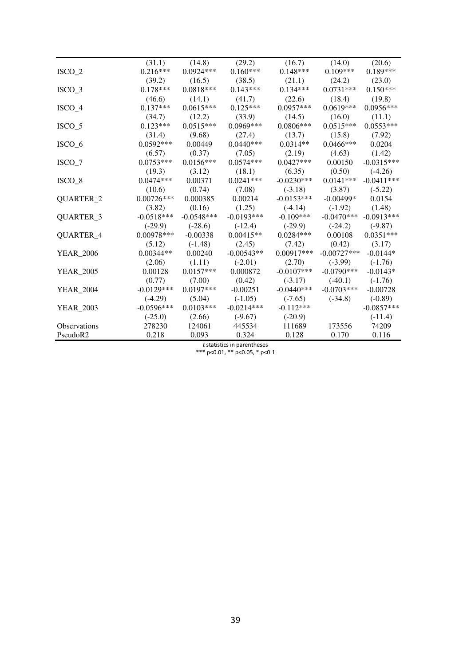|                     | (31.1)       | (14.8)       | (29.2)       | (16.7)       | (14.0)        | (20.6)       |
|---------------------|--------------|--------------|--------------|--------------|---------------|--------------|
| $ISCO_2$            | $0.216***$   | $0.0924***$  | $0.160***$   | $0.148***$   | $0.109***$    | $0.189***$   |
|                     | (39.2)       | (16.5)       | (38.5)       | (21.1)       | (24.2)        | (23.0)       |
| $ISCO_3$            | $0.178***$   | $0.0818***$  | $0.143***$   | $0.134***$   | $0.0731***$   | $0.150***$   |
|                     | (46.6)       | (14.1)       | (41.7)       | (22.6)       | (18.4)        | (19.8)       |
| $ISCO_4$            | $0.137***$   | $0.0615***$  | $0.125***$   | $0.0957***$  | $0.0619***$   | $0.0956***$  |
|                     | (34.7)       | (12.2)       | (33.9)       | (14.5)       | (16.0)        | (11.1)       |
| $ISCO_5$            | $0.123***$   | $0.0515***$  | $0.0969***$  | $0.0806***$  | $0.0515***$   | $0.0553***$  |
|                     | (31.4)       | (9.68)       | (27.4)       | (13.7)       | (15.8)        | (7.92)       |
| $ISCO_6$            | $0.0592***$  | 0.00449      | $0.0440***$  | $0.0314**$   | $0.0466$ ***  | 0.0204       |
|                     | (6.57)       | (0.37)       | (7.05)       | (2.19)       | (4.63)        | (1.42)       |
| $ISCO_7$            | $0.0753***$  | $0.0156***$  | $0.0574***$  | $0.0427***$  | 0.00150       | $-0.0315***$ |
|                     | (19.3)       | (3.12)       | (18.1)       | (6.35)       | (0.50)        | $(-4.26)$    |
| $ISCO_8$            | $0.0474***$  | 0.00371      | $0.0241***$  | $-0.0230***$ | $0.0141***$   | $-0.0411***$ |
|                     | (10.6)       | (0.74)       | (7.08)       | $(-3.18)$    | (3.87)        | $(-5.22)$    |
| QUARTER_2           | $0.00726***$ | 0.000385     | 0.00214      | $-0.0153***$ | $-0.00499*$   | 0.0154       |
|                     | (3.82)       | (0.16)       | (1.25)       | $(-4.14)$    | $(-1.92)$     | (1.48)       |
| QUARTER_3           | $-0.0518***$ | $-0.0548***$ | $-0.0193***$ | $-0.109***$  | $-0.0470***$  | $-0.0913***$ |
|                     | $(-29.9)$    | $(-28.6)$    | $(-12.4)$    | $(-29.9)$    | $(-24.2)$     | $(-9.87)$    |
| QUARTER_4           | $0.00978***$ | $-0.00338$   | $0.00415**$  | $0.0284***$  | 0.00108       | $0.0351***$  |
|                     | (5.12)       | $(-1.48)$    | (2.45)       | (7.42)       | (0.42)        | (3.17)       |
| <b>YEAR_2006</b>    | $0.00344**$  | 0.00240      | $-0.00543**$ | $0.00917***$ | $-0.00727***$ | $-0.0144*$   |
|                     | (2.06)       | (1.11)       | $(-2.01)$    | (2.70)       | $(-3.99)$     | $(-1.76)$    |
| <b>YEAR_2005</b>    | 0.00128      | $0.0157***$  | 0.000872     | $-0.0107***$ | $-0.0790***$  | $-0.0143*$   |
|                     | (0.77)       | (7.00)       | (0.42)       | $(-3.17)$    | $(-40.1)$     | $(-1.76)$    |
| <b>YEAR_2004</b>    | $-0.0129***$ | $0.0197***$  | $-0.00251$   | $-0.0440***$ | $-0.0703***$  | $-0.00728$   |
|                     | $(-4.29)$    | (5.04)       | $(-1.05)$    | $(-7.65)$    | $(-34.8)$     | $(-0.89)$    |
| <b>YEAR_2003</b>    | $-0.0596***$ | $0.0103***$  | $-0.0214***$ | $-0.112***$  |               | $-0.0857***$ |
|                     | $(-25.0)$    | (2.66)       | $(-9.67)$    | $(-20.9)$    |               | $(-11.4)$    |
| <b>Observations</b> | 278230       | 124061       | 445534       | 111689       | 173556        | 74209        |
| PseudoR2            | 0.218        | 0.093        | 0.324        | 0.128        | 0.170         | 0.116        |

*t* statistics in parentheses

\*\*\* p<0.01, \*\* p<0.05, \* p<0.1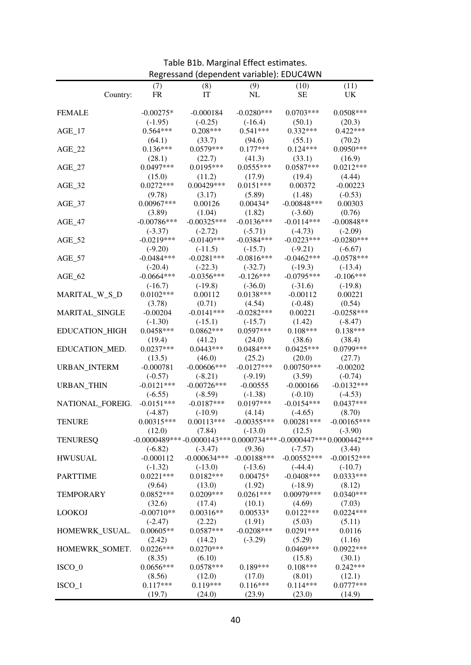| Regressand (dependent variable): EDUC4WN |                           |                                                                             |                          |                        |                            |  |  |  |
|------------------------------------------|---------------------------|-----------------------------------------------------------------------------|--------------------------|------------------------|----------------------------|--|--|--|
|                                          | (7)                       | (8)                                                                         | (9)                      | (10)                   | (11)                       |  |  |  |
| Country:                                 | <b>FR</b>                 | IT                                                                          | NL                       | <b>SE</b>              | <b>UK</b>                  |  |  |  |
|                                          |                           |                                                                             |                          |                        |                            |  |  |  |
| <b>FEMALE</b>                            | $-0.00275*$               | $-0.000184$                                                                 | $-0.0280***$             | $0.0703***$            | $0.0508***$                |  |  |  |
|                                          | $(-1.95)$                 | $(-0.25)$                                                                   | $(-16.4)$                | (50.1)                 | (20.3)                     |  |  |  |
| $AGE_17$                                 | $0.564***$                | $0.208***$                                                                  | $0.541***$               | $0.332***$             | $0.422***$                 |  |  |  |
|                                          | (64.1)                    | (33.7)                                                                      | (94.6)                   | (55.1)                 | (70.2)                     |  |  |  |
| $AGE_22$                                 | $0.136***$                | $0.0579***$                                                                 | $0.177***$               | $0.124***$             | $0.0950***$                |  |  |  |
|                                          | (28.1)                    | (22.7)                                                                      | (41.3)                   | (33.1)                 | (16.9)                     |  |  |  |
| $AGE_27$                                 | $0.0497***$               | $0.0195***$                                                                 | $0.0555***$              | $0.0587***$            | $0.0212***$                |  |  |  |
|                                          | (15.0)                    | (11.2)                                                                      | (17.9)                   | (19.4)                 | (4.44)                     |  |  |  |
| $AGE_32$                                 | $0.0272***$               | $0.00429***$                                                                | $0.0151***$              | 0.00372                | $-0.00223$                 |  |  |  |
|                                          | (9.78)                    | (3.17)                                                                      | (5.89)                   | (1.48)                 | $(-0.53)$                  |  |  |  |
| $AGE_37$                                 | 0.00967***                | 0.00126                                                                     | $0.00434*$               | $-0.00848***$          | 0.00303                    |  |  |  |
|                                          | (3.89)                    | (1.04)                                                                      | (1.82)                   | $(-3.60)$              | (0.76)                     |  |  |  |
| $AGE_47$                                 | $-0.00786***$             | $-0.00325***$                                                               | $-0.0136***$             | $-0.0114***$           | $-0.00848**$               |  |  |  |
|                                          | $(-3.37)$                 | $(-2.72)$                                                                   | $(-5.71)$                | $(-4.73)$              | $(-2.09)$                  |  |  |  |
| $AGE_52$                                 | $-0.0219***$              | $-0.0140***$                                                                | $-0.0384***$             | $-0.0223***$           | $-0.0280***$               |  |  |  |
|                                          | $(-9.20)$                 | $(-11.5)$                                                                   | $(-15.7)$                | $(-9.21)$              | $(-6.67)$                  |  |  |  |
| $AGE_57$                                 | $-0.0484***$              | $-0.0281***$                                                                | $-0.0816***$             | $-0.0462***$           | $-0.0578***$               |  |  |  |
|                                          | $(-20.4)$                 | $(-22.3)$                                                                   | $(-32.7)$                | $(-19.3)$              | $(-13.4)$                  |  |  |  |
| $AGE_62$                                 | $-0.0664***$              | $-0.0356***$                                                                | $-0.126***$              | $-0.0795***$           | $-0.106***$                |  |  |  |
|                                          | $(-16.7)$                 | $(-19.8)$                                                                   | $(-36.0)$                | $(-31.6)$              | $(-19.8)$                  |  |  |  |
| MARITAL_W_S_D                            | $0.0102***$               | 0.00112                                                                     | $0.0138***$              | $-0.00112$             | 0.00221                    |  |  |  |
|                                          | (3.78)                    | (0.71)                                                                      | (4.54)                   | $(-0.48)$              | (0.54)                     |  |  |  |
| MARITAL_SINGLE                           | $-0.00204$                | $-0.0141***$                                                                | $-0.0282***$             | 0.00221                | $-0.0258***$               |  |  |  |
|                                          | $(-1.30)$                 | $(-15.1)$                                                                   | $(-15.7)$                | (1.42)                 | $(-8.47)$                  |  |  |  |
| EDUCATION_HIGH                           | $0.0458***$               | $0.0862***$                                                                 | $0.0597***$              | $0.108***$             | $0.138***$                 |  |  |  |
|                                          | (19.4)                    | (41.2)                                                                      | (24.0)                   | (38.6)                 | (38.4)                     |  |  |  |
| EDUCATION_MED.                           | $0.0237***$               | $0.0443***$                                                                 | $0.0484***$              | $0.0425***$            | 0.0799***                  |  |  |  |
|                                          | (13.5)                    | (46.0)                                                                      | (25.2)                   | (20.0)                 | (27.7)                     |  |  |  |
| URBAN_INTERM                             | $-0.000781$               | $-0.00606$ ***                                                              | $-0.0127***$             | $0.00750***$           | $-0.00202$                 |  |  |  |
|                                          | $(-0.57)$                 | $(-8.21)$                                                                   | $(-9.19)$                | (3.59)                 | $(-0.74)$                  |  |  |  |
| URBAN_THIN                               | $-0.0121***$              | $-0.00726***$                                                               | $-0.00555$               | $-0.000166$            | $-0.0132***$               |  |  |  |
|                                          | $(-6.55)$                 | $(-8.59)$<br>$-0.0187***$                                                   | $(-1.38)$<br>$0.0197***$ | $(-0.10)$              | $(-4.53)$<br>$0.0437***$   |  |  |  |
| NATIONAL_FOREIG.                         | $-0.0151***$              |                                                                             |                          | $-0.0154***$           |                            |  |  |  |
|                                          | $(-4.87)$<br>$0.00315***$ | $(-10.9)$                                                                   | (4.14)<br>$-0.00355***$  | $(-4.65)$              | (8.70)                     |  |  |  |
| <b>TENURE</b>                            |                           | $0.00113***$                                                                |                          | $0.00281***$<br>(12.5) | $-0.00165***$<br>$(-3.90)$ |  |  |  |
| <b>TENURESQ</b>                          | (12.0)                    | (7.84)<br>$-0.0000489***-0.0000143***0.0000734***-0.0000447***0.0000442***$ | $(-13.0)$                |                        |                            |  |  |  |
|                                          | $(-6.82)$                 | $(-3.47)$                                                                   | (9.36)                   | $(-7.57)$              | (3.44)                     |  |  |  |
| <b>HWUSUAL</b>                           | $-0.000112$               | $-0.000634***$ $-0.00188***$                                                |                          | $-0.00552***$          | $-0.00152***$              |  |  |  |
|                                          | $(-1.32)$                 | $(-13.0)$                                                                   | $(-13.6)$                | $(-44.4)$              | $(-10.7)$                  |  |  |  |
| <b>PARTTIME</b>                          | $0.0221***$               | $0.0182***$                                                                 | $0.00475*$               | $-0.0408***$           | $0.0333***$                |  |  |  |
|                                          | (9.64)                    | (13.0)                                                                      | (1.92)                   | $(-18.9)$              | (8.12)                     |  |  |  |
| <b>TEMPORARY</b>                         | $0.0852***$               | $0.0209***$                                                                 | $0.0261***$              | 0.00979***             | $0.0340***$                |  |  |  |
|                                          | (32.6)                    | (17.4)                                                                      | (10.1)                   | (4.69)                 | (7.03)                     |  |  |  |
| <b>LOOKOJ</b>                            | $-0.00710**$              | $0.00316**$                                                                 | $0.00533*$               | $0.0122***$            | $0.0224***$                |  |  |  |
|                                          | $(-2.47)$                 | (2.22)                                                                      | (1.91)                   | (5.03)                 | (5.11)                     |  |  |  |
| HOMEWRK_USUAL.                           | $0.00605**$               | $0.0587***$                                                                 | $-0.0208$ ***            | $0.0291***$            | 0.0116                     |  |  |  |
|                                          | (2.42)                    | (14.2)                                                                      | $(-3.29)$                | (5.29)                 | (1.16)                     |  |  |  |
| HOMEWRK_SOMET.                           | $0.0226***$               | $0.0270***$                                                                 |                          | 0.0469***              | $0.0922***$                |  |  |  |
|                                          | (8.35)                    | (6.10)                                                                      |                          | (15.8)                 | (30.1)                     |  |  |  |
| $ISCO_0$                                 | $0.0656***$               | $0.0578***$                                                                 | $0.189***$               | $0.108***$             | $0.242***$                 |  |  |  |
|                                          | (8.56)                    | (12.0)                                                                      | (17.0)                   | (8.01)                 | (12.1)                     |  |  |  |
| $ISCO_1$                                 | $0.117***$                | $0.119***$                                                                  | $0.116***$               | $0.114***$             | $0.0777***$                |  |  |  |
|                                          | (19.7)                    | (24.0)                                                                      | (23.9)                   | (23.0)                 | (14.9)                     |  |  |  |

Table B1b. Marginal Effect estimates.